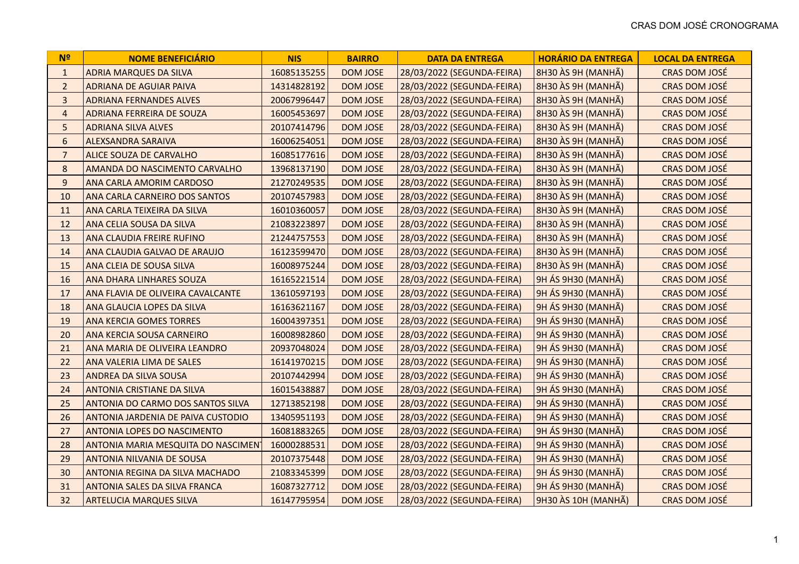| N <sub>2</sub>   | <b>NOME BENEFICIÁRIO</b>             | <b>NIS</b>  | <b>BAIRRO</b>   | <b>DATA DA ENTREGA</b>     | <b>HORÁRIO DA ENTREGA</b> | <b>LOCAL DA ENTREGA</b> |
|------------------|--------------------------------------|-------------|-----------------|----------------------------|---------------------------|-------------------------|
| $\mathbf{1}$     | <b>ADRIA MARQUES DA SILVA</b>        | 16085135255 | <b>DOM JOSE</b> | 28/03/2022 (SEGUNDA-FEIRA) | 8H30 ÀS 9H (MANHÃ)        | CRAS DOM JOSÉ           |
| $\overline{2}$   | <b>ADRIANA DE AGUIAR PAIVA</b>       | 14314828192 | <b>DOM JOSE</b> | 28/03/2022 (SEGUNDA-FEIRA) | 8H30 ÀS 9H (MANHÃ)        | CRAS DOM JOSÉ           |
| $\overline{3}$   | <b>ADRIANA FERNANDES ALVES</b>       | 20067996447 | <b>DOM JOSE</b> | 28/03/2022 (SEGUNDA-FEIRA) | 8H30 ÀS 9H (MANHÃ)        | CRAS DOM JOSÉ           |
| $\overline{4}$   | <b>ADRIANA FERREIRA DE SOUZA</b>     | 16005453697 | <b>DOM JOSE</b> | 28/03/2022 (SEGUNDA-FEIRA) | 8H30 ÀS 9H (MANHÃ)        | CRAS DOM JOSÉ           |
| 5                | <b>ADRIANA SILVA ALVES</b>           | 20107414796 | <b>DOM JOSE</b> | 28/03/2022 (SEGUNDA-FEIRA) | 8H30 ÀS 9H (MANHÃ)        | CRAS DOM JOSÉ           |
| $\sqrt{6}$       | <b>ALEXSANDRA SARAIVA</b>            | 16006254051 | <b>DOM JOSE</b> | 28/03/2022 (SEGUNDA-FEIRA) | 8H30 ÀS 9H (MANHÃ)        | CRAS DOM JOSÉ           |
| $\overline{7}$   | <b>ALICE SOUZA DE CARVALHO</b>       | 16085177616 | <b>DOM JOSE</b> | 28/03/2022 (SEGUNDA-FEIRA) | 8H30 ÀS 9H (MANHÃ)        | CRAS DOM JOSÉ           |
| $\bf 8$          | AMANDA DO NASCIMENTO CARVALHO        | 13968137190 | <b>DOM JOSE</b> | 28/03/2022 (SEGUNDA-FEIRA) | 8H30 ÀS 9H (MANHÃ)        | CRAS DOM JOSÉ           |
| $\boldsymbol{9}$ | ANA CARLA AMORIM CARDOSO             | 21270249535 | <b>DOM JOSE</b> | 28/03/2022 (SEGUNDA-FEIRA) | 8H30 ÀS 9H (MANHÃ)        | CRAS DOM JOSÉ           |
| 10               | ANA CARLA CARNEIRO DOS SANTOS        | 20107457983 | <b>DOM JOSE</b> | 28/03/2022 (SEGUNDA-FEIRA) | 8H30 ÀS 9H (MANHÃ)        | CRAS DOM JOSÉ           |
| 11               | ANA CARLA TEIXEIRA DA SILVA          | 16010360057 | <b>DOM JOSE</b> | 28/03/2022 (SEGUNDA-FEIRA) | 8H30 ÀS 9H (MANHÃ)        | CRAS DOM JOSÉ           |
| 12               | <b>ANA CELIA SOUSA DA SILVA</b>      | 21083223897 | <b>DOM JOSE</b> | 28/03/2022 (SEGUNDA-FEIRA) | 8H30 ÀS 9H (MANHÃ)        | CRAS DOM JOSÉ           |
| 13               | <b>ANA CLAUDIA FREIRE RUFINO</b>     | 21244757553 | <b>DOM JOSE</b> | 28/03/2022 (SEGUNDA-FEIRA) | 8H30 ÀS 9H (MANHÃ)        | CRAS DOM JOSÉ           |
| 14               | ANA CLAUDIA GALVAO DE ARAUJO         | 16123599470 | <b>DOM JOSE</b> | 28/03/2022 (SEGUNDA-FEIRA) | 8H30 ÀS 9H (MANHÃ)        | CRAS DOM JOSÉ           |
| 15               | <b>ANA CLEIA DE SOUSA SILVA</b>      | 16008975244 | <b>DOM JOSE</b> | 28/03/2022 (SEGUNDA-FEIRA) | 8H30 ÀS 9H (MANHÃ)        | CRAS DOM JOSÉ           |
| 16               | <b>ANA DHARA LINHARES SOUZA</b>      | 16165221514 | <b>DOM JOSE</b> | 28/03/2022 (SEGUNDA-FEIRA) | 9H ÁS 9H30 (MANHÃ)        | CRAS DOM JOSÉ           |
| 17               | ANA FLAVIA DE OLIVEIRA CAVALCANTE    | 13610597193 | DOM JOSE        | 28/03/2022 (SEGUNDA-FEIRA) | 9H ÁS 9H30 (MANHÃ)        | CRAS DOM JOSÉ           |
| 18               | ANA GLAUCIA LOPES DA SILVA           | 16163621167 | <b>DOM JOSE</b> | 28/03/2022 (SEGUNDA-FEIRA) | 9H ÁS 9H30 (MANHÃ)        | CRAS DOM JOSÉ           |
| 19               | <b>ANA KERCIA GOMES TORRES</b>       | 16004397351 | <b>DOM JOSE</b> | 28/03/2022 (SEGUNDA-FEIRA) | 9H ÁS 9H30 (MANHÃ)        | CRAS DOM JOSÉ           |
| 20               | <b>ANA KERCIA SOUSA CARNEIRO</b>     | 16008982860 | <b>DOM JOSE</b> | 28/03/2022 (SEGUNDA-FEIRA) | 9H ÁS 9H30 (MANHÃ)        | <b>CRAS DOM JOSÉ</b>    |
| 21               | <b>ANA MARIA DE OLIVEIRA LEANDRO</b> | 20937048024 | <b>DOM JOSE</b> | 28/03/2022 (SEGUNDA-FEIRA) | 9H ÁS 9H30 (MANHÃ)        | CRAS DOM JOSÉ           |
| 22               | ANA VALERIA LIMA DE SALES            | 16141970215 | <b>DOM JOSE</b> | 28/03/2022 (SEGUNDA-FEIRA) | 9H ÁS 9H30 (MANHÃ)        | CRAS DOM JOSÉ           |
| 23               | <b>ANDREA DA SILVA SOUSA</b>         | 20107442994 | <b>DOM JOSE</b> | 28/03/2022 (SEGUNDA-FEIRA) | 9H ÁS 9H30 (MANHÃ)        | CRAS DOM JOSÉ           |
| 24               | ANTONIA CRISTIANE DA SILVA           | 16015438887 | <b>DOM JOSE</b> | 28/03/2022 (SEGUNDA-FEIRA) | 9H ÁS 9H30 (MANHÃ)        | CRAS DOM JOSÉ           |
| 25               | ANTONIA DO CARMO DOS SANTOS SILVA    | 12713852198 | DOM JOSE        | 28/03/2022 (SEGUNDA-FEIRA) | 9H ÁS 9H30 (MANHÃ)        | CRAS DOM JOSÉ           |
| 26               | ANTONIA JARDENIA DE PAIVA CUSTODIO   | 13405951193 | <b>DOM JOSE</b> | 28/03/2022 (SEGUNDA-FEIRA) | 9H ÁS 9H30 (MANHÃ)        | CRAS DOM JOSÉ           |
| 27               | ANTONIA LOPES DO NASCIMENTO          | 16081883265 | <b>DOM JOSE</b> | 28/03/2022 (SEGUNDA-FEIRA) | 9H ÁS 9H30 (MANHÃ)        | CRAS DOM JOSÉ           |
| 28               | ANTONIA MARIA MESQUITA DO NASCIMENT  | 16000288531 | <b>DOM JOSE</b> | 28/03/2022 (SEGUNDA-FEIRA) | 9H ÁS 9H30 (MANHÃ)        | CRAS DOM JOSÉ           |
| 29               | ANTONIA NILVANIA DE SOUSA            | 20107375448 | <b>DOM JOSE</b> | 28/03/2022 (SEGUNDA-FEIRA) | 9H ÁS 9H30 (MANHÃ)        | CRAS DOM JOSÉ           |
| 30               | ANTONIA REGINA DA SILVA MACHADO      | 21083345399 | <b>DOM JOSE</b> | 28/03/2022 (SEGUNDA-FEIRA) | 9H ÁS 9H30 (MANHÃ)        | CRAS DOM JOSÉ           |
| 31               | ANTONIA SALES DA SILVA FRANCA        | 16087327712 | <b>DOM JOSE</b> | 28/03/2022 (SEGUNDA-FEIRA) | 9H ÁS 9H30 (MANHÃ)        | CRAS DOM JOSÉ           |
| 32               | <b>ARTELUCIA MARQUES SILVA</b>       | 16147795954 | <b>DOM JOSE</b> | 28/03/2022 (SEGUNDA-FEIRA) | 9H30 ÀS 10H (MANHÃ)       | CRAS DOM JOSÉ           |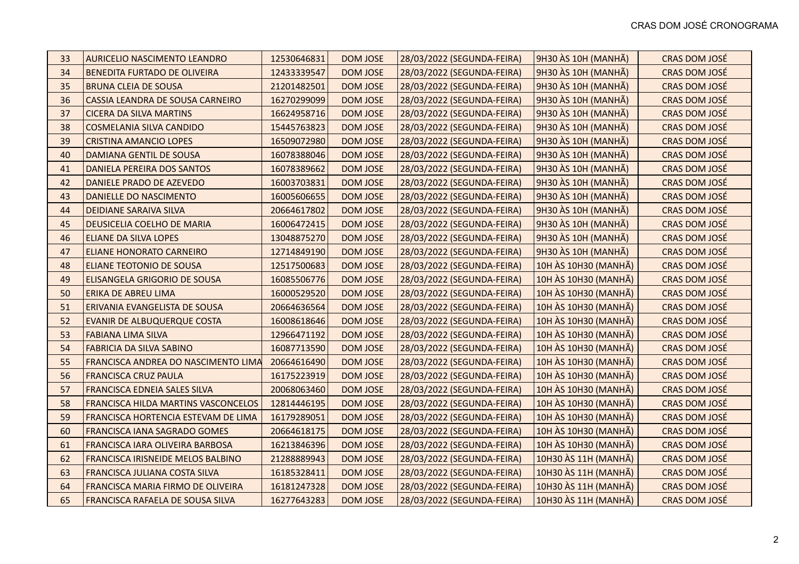| 33 | <b>AURICELIO NASCIMENTO LEANDRO</b>      | 12530646831 | <b>DOM JOSE</b> | 28/03/2022 (SEGUNDA-FEIRA) | 9H30 ÀS 10H (MANHÃ)  | CRAS DOM JOSÉ        |
|----|------------------------------------------|-------------|-----------------|----------------------------|----------------------|----------------------|
| 34 | <b>BENEDITA FURTADO DE OLIVEIRA</b>      | 12433339547 | <b>DOM JOSE</b> | 28/03/2022 (SEGUNDA-FEIRA) | 9H30 ÀS 10H (MANHÃ)  | CRAS DOM JOSÉ        |
| 35 | <b>BRUNA CLEIA DE SOUSA</b>              | 21201482501 | DOM JOSE        | 28/03/2022 (SEGUNDA-FEIRA) | 9H30 ÀS 10H (MANHÃ)  | CRAS DOM JOSÉ        |
| 36 | CASSIA LEANDRA DE SOUSA CARNEIRO         | 16270299099 | <b>DOM JOSE</b> | 28/03/2022 (SEGUNDA-FEIRA) | 9H30 ÀS 10H (MANHÃ)  | CRAS DOM JOSÉ        |
| 37 | <b>CICERA DA SILVA MARTINS</b>           | 16624958716 | <b>DOM JOSE</b> | 28/03/2022 (SEGUNDA-FEIRA) | 9H30 ÀS 10H (MANHÃ)  | CRAS DOM JOSÉ        |
| 38 | <b>COSMELANIA SILVA CANDIDO</b>          | 15445763823 | <b>DOM JOSE</b> | 28/03/2022 (SEGUNDA-FEIRA) | 9H30 ÀS 10H (MANHÃ)  | CRAS DOM JOSÉ        |
| 39 | <b>CRISTINA AMANCIO LOPES</b>            | 16509072980 | <b>DOM JOSE</b> | 28/03/2022 (SEGUNDA-FEIRA) | 9H30 ÀS 10H (MANHÃ)  | CRAS DOM JOSÉ        |
| 40 | <b>DAMIANA GENTIL DE SOUSA</b>           | 16078388046 | <b>DOM JOSE</b> | 28/03/2022 (SEGUNDA-FEIRA) | 9H30 ÀS 10H (MANHÃ)  | CRAS DOM JOSÉ        |
| 41 | DANIELA PEREIRA DOS SANTOS               | 16078389662 | <b>DOM JOSE</b> | 28/03/2022 (SEGUNDA-FEIRA) | 9H30 ÀS 10H (MANHÃ)  | <b>CRAS DOM JOSÉ</b> |
| 42 | DANIELE PRADO DE AZEVEDO                 | 16003703831 | <b>DOM JOSE</b> | 28/03/2022 (SEGUNDA-FEIRA) | 9H30 ÀS 10H (MANHÃ)  | CRAS DOM JOSÉ        |
| 43 | DANIELLE DO NASCIMENTO                   | 16005606655 | DOM JOSE        | 28/03/2022 (SEGUNDA-FEIRA) | 9H30 ÀS 10H (MANHÃ)  | <b>CRAS DOM JOSÉ</b> |
| 44 | <b>DEIDIANE SARAIVA SILVA</b>            | 20664617802 | <b>DOM JOSE</b> | 28/03/2022 (SEGUNDA-FEIRA) | 9H30 ÀS 10H (MANHÃ)  | <b>CRAS DOM JOSÉ</b> |
| 45 | DEUSICELIA COELHO DE MARIA               | 16006472415 | <b>DOM JOSE</b> | 28/03/2022 (SEGUNDA-FEIRA) | 9H30 ÀS 10H (MANHÃ)  | CRAS DOM JOSÉ        |
| 46 | <b>ELIANE DA SILVA LOPES</b>             | 13048875270 | DOM JOSE        | 28/03/2022 (SEGUNDA-FEIRA) | 9H30 ÀS 10H (MANHÃ)  | CRAS DOM JOSÉ        |
| 47 | <b>ELIANE HONORATO CARNEIRO</b>          | 12714849190 | <b>DOM JOSE</b> | 28/03/2022 (SEGUNDA-FEIRA) | 9H30 ÀS 10H (MANHÃ)  | CRAS DOM JOSÉ        |
| 48 | <b>ELIANE TEOTONIO DE SOUSA</b>          | 12517500683 | <b>DOM JOSE</b> | 28/03/2022 (SEGUNDA-FEIRA) | 10H ÀS 10H30 (MANHÃ) | CRAS DOM JOSÉ        |
| 49 | <b>ELISANGELA GRIGORIO DE SOUSA</b>      | 16085506776 | <b>DOM JOSE</b> | 28/03/2022 (SEGUNDA-FEIRA) | 10H ÀS 10H30 (MANHÃ) | CRAS DOM JOSÉ        |
| 50 | ERIKA DE ABREU LIMA                      | 16000529520 | DOM JOSE        | 28/03/2022 (SEGUNDA-FEIRA) | 10H ÀS 10H30 (MANHÃ) | CRAS DOM JOSÉ        |
| 51 | ERIVANIA EVANGELISTA DE SOUSA            | 20664636564 | <b>DOM JOSE</b> | 28/03/2022 (SEGUNDA-FEIRA) | 10H ÀS 10H30 (MANHA) | CRAS DOM JOSÉ        |
| 52 | <b>EVANIR DE ALBUQUERQUE COSTA</b>       | 16008618646 | <b>DOM JOSE</b> | 28/03/2022 (SEGUNDA-FEIRA) | 10H ÀS 10H30 (MANHÃ) | CRAS DOM JOSÉ        |
| 53 | <b>FABIANA LIMA SILVA</b>                | 12966471192 | <b>DOM JOSE</b> | 28/03/2022 (SEGUNDA-FEIRA) | 10H ÀS 10H30 (MANHÃ) | CRAS DOM JOSÉ        |
| 54 | <b>FABRICIA DA SILVA SABINO</b>          | 16087713590 | <b>DOM JOSE</b> | 28/03/2022 (SEGUNDA-FEIRA) | 10H ÀS 10H30 (MANHÃ) | CRAS DOM JOSÉ        |
| 55 | FRANCISCA ANDREA DO NASCIMENTO LIMA      | 20664616490 | <b>DOM JOSE</b> | 28/03/2022 (SEGUNDA-FEIRA) | 10H ÀS 10H30 (MANHÃ) | CRAS DOM JOSÉ        |
| 56 | <b>FRANCISCA CRUZ PAULA</b>              | 16175223919 | <b>DOM JOSE</b> | 28/03/2022 (SEGUNDA-FEIRA) | 10H ÀS 10H30 (MANHÃ) | CRAS DOM JOSÉ        |
| 57 | FRANCISCA EDNEIA SALES SILVA             | 20068063460 | <b>DOM JOSE</b> | 28/03/2022 (SEGUNDA-FEIRA) | 10H ÀS 10H30 (MANHÃ) | CRAS DOM JOSÉ        |
| 58 | FRANCISCA HILDA MARTINS VASCONCELOS      | 12814446195 | <b>DOM JOSE</b> | 28/03/2022 (SEGUNDA-FEIRA) | 10H ÀS 10H30 (MANHÃ) | CRAS DOM JOSÉ        |
| 59 | FRANCISCA HORTENCIA ESTEVAM DE LIMA      | 16179289051 | <b>DOM JOSE</b> | 28/03/2022 (SEGUNDA-FEIRA) | 10H ÀS 10H30 (MANHÃ) | CRAS DOM JOSÉ        |
| 60 | <b>FRANCISCA IANA SAGRADO GOMES</b>      | 20664618175 | <b>DOM JOSE</b> | 28/03/2022 (SEGUNDA-FEIRA) | 10H ÀS 10H30 (MANHÃ) | CRAS DOM JOSÉ        |
| 61 | FRANCISCA IARA OLIVEIRA BARBOSA          | 16213846396 | <b>DOM JOSE</b> | 28/03/2022 (SEGUNDA-FEIRA) | 10H ÀS 10H30 (MANHÃ) | CRAS DOM JOSÉ        |
| 62 | <b>FRANCISCA IRISNEIDE MELOS BALBINO</b> | 21288889943 | <b>DOM JOSE</b> | 28/03/2022 (SEGUNDA-FEIRA) | 10H30 ÀS 11H (MANHÃ) | CRAS DOM JOSÉ        |
| 63 | FRANCISCA JULIANA COSTA SILVA            | 16185328411 | <b>DOM JOSE</b> | 28/03/2022 (SEGUNDA-FEIRA) | 10H30 ÀS 11H (MANHÃ) | CRAS DOM JOSÉ        |
| 64 | <b>FRANCISCA MARIA FIRMO DE OLIVEIRA</b> | 16181247328 | <b>DOM JOSE</b> | 28/03/2022 (SEGUNDA-FEIRA) | 10H30 ÀS 11H (MANHÃ) | CRAS DOM JOSÉ        |
| 65 | <b>FRANCISCA RAFAELA DE SOUSA SILVA</b>  | 16277643283 | <b>DOM JOSE</b> | 28/03/2022 (SEGUNDA-FEIRA) | 10H30 ÀS 11H (MANHÃ) | <b>CRAS DOM JOSÉ</b> |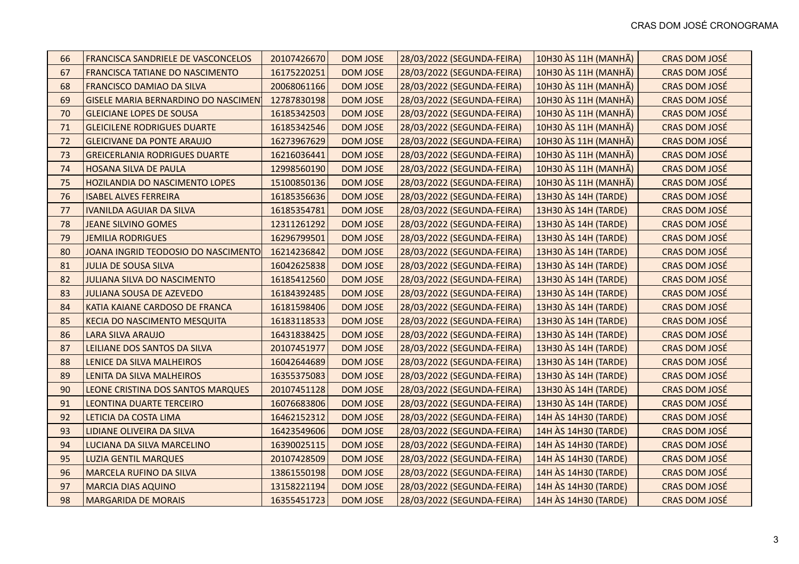| 66 | <b>FRANCISCA SANDRIELE DE VASCONCELOS</b>  | 20107426670 | <b>DOM JOSE</b> | 28/03/2022 (SEGUNDA-FEIRA) | 10H30 ÀS 11H (MANHÃ) | <b>CRAS DOM JOSÉ</b> |
|----|--------------------------------------------|-------------|-----------------|----------------------------|----------------------|----------------------|
| 67 | <b>FRANCISCA TATIANE DO NASCIMENTO</b>     | 16175220251 | <b>DOM JOSE</b> | 28/03/2022 (SEGUNDA-FEIRA) | 10H30 ÀS 11H (MANHÃ) | CRAS DOM JOSÉ        |
| 68 | FRANCISCO DAMIAO DA SILVA                  | 20068061166 | <b>DOM JOSE</b> | 28/03/2022 (SEGUNDA-FEIRA) | 10H30 ÀS 11H (MANHÃ) | CRAS DOM JOSÉ        |
| 69 | <b>GISELE MARIA BERNARDINO DO NASCIMEN</b> | 12787830198 | <b>DOM JOSE</b> | 28/03/2022 (SEGUNDA-FEIRA) | 10H30 ÀS 11H (MANHÃ) | CRAS DOM JOSÉ        |
| 70 | <b>GLEICIANE LOPES DE SOUSA</b>            | 16185342503 | DOM JOSE        | 28/03/2022 (SEGUNDA-FEIRA) | 10H30 ÀS 11H (MANHÃ) | CRAS DOM JOSÉ        |
| 71 | <b>GLEICILENE RODRIGUES DUARTE</b>         | 16185342546 | <b>DOM JOSE</b> | 28/03/2022 (SEGUNDA-FEIRA) | 10H30 ÀS 11H (MANHÃ) | CRAS DOM JOSÉ        |
| 72 | <b>GLEICIVANE DA PONTE ARAUJO</b>          | 16273967629 | <b>DOM JOSE</b> | 28/03/2022 (SEGUNDA-FEIRA) | 10H30 ÀS 11H (MANHÃ) | CRAS DOM JOSÉ        |
| 73 | <b>GREICERLANIA RODRIGUES DUARTE</b>       | 16216036441 | <b>DOM JOSE</b> | 28/03/2022 (SEGUNDA-FEIRA) | 10H30 ÀS 11H (MANHÃ) | CRAS DOM JOSÉ        |
| 74 | <b>HOSANA SILVA DE PAULA</b>               | 12998560190 | <b>DOM JOSE</b> | 28/03/2022 (SEGUNDA-FEIRA) | 10H30 ÀS 11H (MANHÃ) | CRAS DOM JOSÉ        |
| 75 | <b>HOZILANDIA DO NASCIMENTO LOPES</b>      | 15100850136 | <b>DOM JOSE</b> | 28/03/2022 (SEGUNDA-FEIRA) | 10H30 ÀS 11H (MANHÃ) | CRAS DOM JOSÉ        |
| 76 | <b>ISABEL ALVES FERREIRA</b>               | 16185356636 | DOM JOSE        | 28/03/2022 (SEGUNDA-FEIRA) | 13H30 AS 14H (TARDE) | CRAS DOM JOSÉ        |
| 77 | <b>IVANILDA AGUIAR DA SILVA</b>            | 16185354781 | <b>DOM JOSE</b> | 28/03/2022 (SEGUNDA-FEIRA) | 13H30 AS 14H (TARDE) | CRAS DOM JOSÉ        |
| 78 | <b>JEANE SILVINO GOMES</b>                 | 12311261292 | <b>DOM JOSE</b> | 28/03/2022 (SEGUNDA-FEIRA) | 13H30 AS 14H (TARDE) | CRAS DOM JOSÉ        |
| 79 | <b>JEMILIA RODRIGUES</b>                   | 16296799501 | <b>DOM JOSE</b> | 28/03/2022 (SEGUNDA-FEIRA) | 13H30 AS 14H (TARDE) | CRAS DOM JOSÉ        |
| 80 | JOANA INGRID TEODOSIO DO NASCIMENTO        | 16214236842 | <b>DOM JOSE</b> | 28/03/2022 (SEGUNDA-FEIRA) | 13H30 AS 14H (TARDE) | CRAS DOM JOSÉ        |
| 81 | <b>JULIA DE SOUSA SILVA</b>                | 16042625838 | <b>DOM JOSE</b> | 28/03/2022 (SEGUNDA-FEIRA) | 13H30 ÀS 14H (TARDE) | CRAS DOM JOSÉ        |
| 82 | <b>JULIANA SILVA DO NASCIMENTO</b>         | 16185412560 | <b>DOM JOSE</b> | 28/03/2022 (SEGUNDA-FEIRA) | 13H30 AS 14H (TARDE) | CRAS DOM JOSÉ        |
| 83 | JULIANA SOUSA DE AZEVEDO                   | 16184392485 | <b>DOM JOSE</b> | 28/03/2022 (SEGUNDA-FEIRA) | 13H30 ÀS 14H (TARDE) | CRAS DOM JOSÉ        |
| 84 | KATIA KAIANE CARDOSO DE FRANCA             | 16181598406 | <b>DOM JOSE</b> | 28/03/2022 (SEGUNDA-FEIRA) | 13H30 ÀS 14H (TARDE) | CRAS DOM JOSÉ        |
| 85 | <b>KECIA DO NASCIMENTO MESQUITA</b>        | 16183118533 | <b>DOM JOSE</b> | 28/03/2022 (SEGUNDA-FEIRA) | 13H30 ÀS 14H (TARDE) | CRAS DOM JOSÉ        |
| 86 | <b>LARA SILVA ARAUJO</b>                   | 16431838425 | <b>DOM JOSE</b> | 28/03/2022 (SEGUNDA-FEIRA) | 13H30 ÀS 14H (TARDE) | CRAS DOM JOSÉ        |
| 87 | LEILIANE DOS SANTOS DA SILVA               | 20107451977 | <b>DOM JOSE</b> | 28/03/2022 (SEGUNDA-FEIRA) | 13H30 ÀS 14H (TARDE) | CRAS DOM JOSÉ        |
| 88 | LENICE DA SILVA MALHEIROS                  | 16042644689 | <b>DOM JOSE</b> | 28/03/2022 (SEGUNDA-FEIRA) | 13H30 AS 14H (TARDE) | CRAS DOM JOSÉ        |
| 89 | LENITA DA SILVA MALHEIROS                  | 16355375083 | <b>DOM JOSE</b> | 28/03/2022 (SEGUNDA-FEIRA) | 13H30 AS 14H (TARDE) | CRAS DOM JOSÉ        |
| 90 | LEONE CRISTINA DOS SANTOS MARQUES          | 20107451128 | DOM JOSE        | 28/03/2022 (SEGUNDA-FEIRA) | 13H30 ÀS 14H (TARDE) | CRAS DOM JOSÉ        |
| 91 | LEONTINA DUARTE TERCEIRO                   | 16076683806 | <b>DOM JOSE</b> | 28/03/2022 (SEGUNDA-FEIRA) | 13H30 AS 14H (TARDE) | CRAS DOM JOSÉ        |
| 92 | LETICIA DA COSTA LIMA                      | 16462152312 | <b>DOM JOSE</b> | 28/03/2022 (SEGUNDA-FEIRA) | 14H ÀS 14H30 (TARDE) | CRAS DOM JOSÉ        |
| 93 | LIDIANE OLIVEIRA DA SILVA                  | 16423549606 | DOM JOSE        | 28/03/2022 (SEGUNDA-FEIRA) | 14H ÀS 14H30 (TARDE) | CRAS DOM JOSÉ        |
| 94 | LUCIANA DA SILVA MARCELINO                 | 16390025115 | <b>DOM JOSE</b> | 28/03/2022 (SEGUNDA-FEIRA) | 14H ÀS 14H30 (TARDE) | CRAS DOM JOSÉ        |
| 95 | <b>LUZIA GENTIL MARQUES</b>                | 20107428509 | <b>DOM JOSE</b> | 28/03/2022 (SEGUNDA-FEIRA) | 14H ÀS 14H30 (TARDE) | CRAS DOM JOSÉ        |
| 96 | <b>MARCELA RUFINO DA SILVA</b>             | 13861550198 | DOM JOSE        | 28/03/2022 (SEGUNDA-FEIRA) | 14H ÀS 14H30 (TARDE) | CRAS DOM JOSÉ        |
| 97 | <b>MARCIA DIAS AQUINO</b>                  | 13158221194 | <b>DOM JOSE</b> | 28/03/2022 (SEGUNDA-FEIRA) | 14H ÀS 14H30 (TARDE) | CRAS DOM JOSÉ        |
| 98 | <b>MARGARIDA DE MORAIS</b>                 | 16355451723 | <b>DOM JOSE</b> | 28/03/2022 (SEGUNDA-FEIRA) | 14H ÀS 14H30 (TARDE) | CRAS DOM JOSÉ        |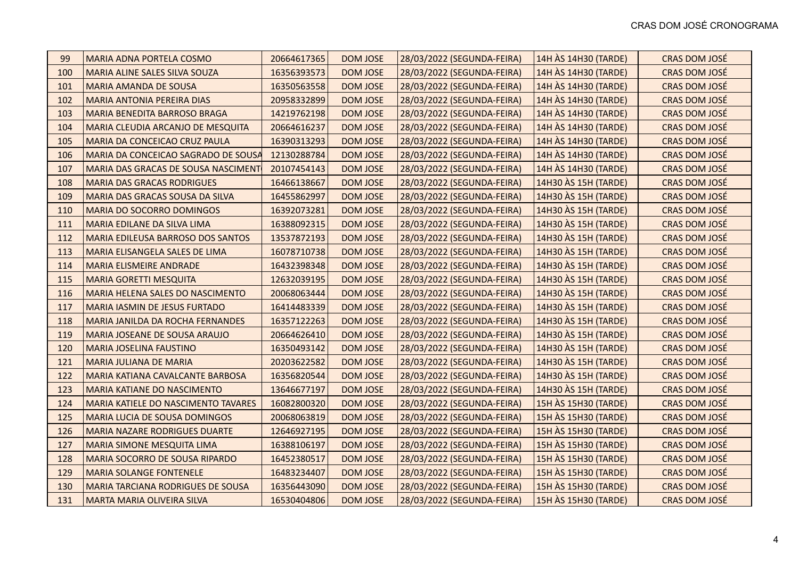| 99  | <b>MARIA ADNA PORTELA COSMO</b>            | 20664617365 | <b>DOM JOSE</b> | 28/03/2022 (SEGUNDA-FEIRA) | 14H ÀS 14H30 (TARDE) | <b>CRAS DOM JOSÉ</b> |
|-----|--------------------------------------------|-------------|-----------------|----------------------------|----------------------|----------------------|
| 100 | MARIA ALINE SALES SILVA SOUZA              | 16356393573 | <b>DOM JOSE</b> | 28/03/2022 (SEGUNDA-FEIRA) | 14H ÀS 14H30 (TARDE) | CRAS DOM JOSÉ        |
| 101 | <b>MARIA AMANDA DE SOUSA</b>               | 16350563558 | <b>DOM JOSE</b> | 28/03/2022 (SEGUNDA-FEIRA) | 14H ÀS 14H30 (TARDE) | CRAS DOM JOSÉ        |
| 102 | <b>MARIA ANTONIA PEREIRA DIAS</b>          | 20958332899 | <b>DOM JOSE</b> | 28/03/2022 (SEGUNDA-FEIRA) | 14H ÀS 14H30 (TARDE) | CRAS DOM JOSÉ        |
| 103 | MARIA BENEDITA BARROSO BRAGA               | 14219762198 | <b>DOM JOSE</b> | 28/03/2022 (SEGUNDA-FEIRA) | 14H ÀS 14H30 (TARDE) | CRAS DOM JOSÉ        |
| 104 | MARIA CLEUDIA ARCANJO DE MESQUITA          | 20664616237 | <b>DOM JOSE</b> | 28/03/2022 (SEGUNDA-FEIRA) | 14H ÀS 14H30 (TARDE) | CRAS DOM JOSÉ        |
| 105 | MARIA DA CONCEICAO CRUZ PAULA              | 16390313293 | <b>DOM JOSE</b> | 28/03/2022 (SEGUNDA-FEIRA) | 14H ÀS 14H30 (TARDE) | CRAS DOM JOSÉ        |
| 106 | MARIA DA CONCEICAO SAGRADO DE SOUSA        | 12130288784 | <b>DOM JOSE</b> | 28/03/2022 (SEGUNDA-FEIRA) | 14H ÀS 14H30 (TARDE) | CRAS DOM JOSÉ        |
| 107 | MARIA DAS GRACAS DE SOUSA NASCIMENT        | 20107454143 | <b>DOM JOSE</b> | 28/03/2022 (SEGUNDA-FEIRA) | 14H ÀS 14H30 (TARDE) | CRAS DOM JOSÉ        |
| 108 | <b>MARIA DAS GRACAS RODRIGUES</b>          | 16466138667 | <b>DOM JOSE</b> | 28/03/2022 (SEGUNDA-FEIRA) | 14H30 AS 15H (TARDE) | CRAS DOM JOSÉ        |
| 109 | MARIA DAS GRACAS SOUSA DA SILVA            | 16455862997 | <b>DOM JOSE</b> | 28/03/2022 (SEGUNDA-FEIRA) | 14H30 ÀS 15H (TARDE) | <b>CRAS DOM JOSÉ</b> |
| 110 | <b>MARIA DO SOCORRO DOMINGOS</b>           | 16392073281 | <b>DOM JOSE</b> | 28/03/2022 (SEGUNDA-FEIRA) | 14H30 AS 15H (TARDE) | CRAS DOM JOSÉ        |
| 111 | MARIA EDILANE DA SILVA LIMA                | 16388092315 | <b>DOM JOSE</b> | 28/03/2022 (SEGUNDA-FEIRA) | 14H30 ÀS 15H (TARDE) | CRAS DOM JOSÉ        |
| 112 | MARIA EDILEUSA BARROSO DOS SANTOS          | 13537872193 | <b>DOM JOSE</b> | 28/03/2022 (SEGUNDA-FEIRA) | 14H30 AS 15H (TARDE) | CRAS DOM JOSÉ        |
| 113 | MARIA ELISANGELA SALES DE LIMA             | 16078710738 | <b>DOM JOSE</b> | 28/03/2022 (SEGUNDA-FEIRA) | 14H30 AS 15H (TARDE) | CRAS DOM JOSÉ        |
| 114 | <b>MARIA ELISMEIRE ANDRADE</b>             | 16432398348 | <b>DOM JOSE</b> | 28/03/2022 (SEGUNDA-FEIRA) | 14H30 ÀS 15H (TARDE) | CRAS DOM JOSÉ        |
| 115 | <b>MARIA GORETTI MESQUITA</b>              | 12632039195 | <b>DOM JOSE</b> | 28/03/2022 (SEGUNDA-FEIRA) | 14H30 AS 15H (TARDE) | CRAS DOM JOSÉ        |
| 116 | MARIA HELENA SALES DO NASCIMENTO           | 20068063444 | <b>DOM JOSE</b> | 28/03/2022 (SEGUNDA-FEIRA) | 14H30 ÀS 15H (TARDE) | CRAS DOM JOSÉ        |
| 117 | MARIA IASMIN DE JESUS FURTADO              | 16414483339 | <b>DOM JOSE</b> | 28/03/2022 (SEGUNDA-FEIRA) | 14H30 ÀS 15H (TARDE) | CRAS DOM JOSÉ        |
| 118 | MARIA JANILDA DA ROCHA FERNANDES           | 16357122263 | <b>DOM JOSE</b> | 28/03/2022 (SEGUNDA-FEIRA) | 14H30 AS 15H (TARDE) | CRAS DOM JOSÉ        |
| 119 | MARIA JOSEANE DE SOUSA ARAUJO              | 20664626410 | <b>DOM JOSE</b> | 28/03/2022 (SEGUNDA-FEIRA) | 14H30 ÀS 15H (TARDE) | CRAS DOM JOSÉ        |
| 120 | <b>MARIA JOSELINA FAUSTINO</b>             | 16350493142 | <b>DOM JOSE</b> | 28/03/2022 (SEGUNDA-FEIRA) | 14H30 AS 15H (TARDE) | CRAS DOM JOSÉ        |
| 121 | <b>MARIA JULIANA DE MARIA</b>              | 20203622582 | <b>DOM JOSE</b> | 28/03/2022 (SEGUNDA-FEIRA) | 14H30 ÀS 15H (TARDE) | CRAS DOM JOSÉ        |
| 122 | MARIA KATIANA CAVALCANTE BARBOSA           | 16356820544 | <b>DOM JOSE</b> | 28/03/2022 (SEGUNDA-FEIRA) | 14H30 AS 15H (TARDE) | CRAS DOM JOSÉ        |
| 123 | <b>MARIA KATIANE DO NASCIMENTO</b>         | 13646677197 | <b>DOM JOSE</b> | 28/03/2022 (SEGUNDA-FEIRA) | 14H30 AS 15H (TARDE) | CRAS DOM JOSÉ        |
| 124 | <b>MARIA KATIELE DO NASCIMENTO TAVARES</b> | 16082800320 | <b>DOM JOSE</b> | 28/03/2022 (SEGUNDA-FEIRA) | 15H ÀS 15H30 (TARDE) | CRAS DOM JOSÉ        |
| 125 | MARIA LUCIA DE SOUSA DOMINGOS              | 20068063819 | <b>DOM JOSE</b> | 28/03/2022 (SEGUNDA-FEIRA) | 15H ÀS 15H30 (TARDE) | CRAS DOM JOSÉ        |
| 126 | <b>MARIA NAZARE RODRIGUES DUARTE</b>       | 12646927195 | <b>DOM JOSE</b> | 28/03/2022 (SEGUNDA-FEIRA) | 15H ÀS 15H30 (TARDE) | CRAS DOM JOSÉ        |
| 127 | <b>MARIA SIMONE MESQUITA LIMA</b>          | 16388106197 | <b>DOM JOSE</b> | 28/03/2022 (SEGUNDA-FEIRA) | 15H ÀS 15H30 (TARDE) | CRAS DOM JOSÉ        |
| 128 | MARIA SOCORRO DE SOUSA RIPARDO             | 16452380517 | <b>DOM JOSE</b> | 28/03/2022 (SEGUNDA-FEIRA) | 15H ÀS 15H30 (TARDE) | CRAS DOM JOSÉ        |
| 129 | <b>MARIA SOLANGE FONTENELE</b>             | 16483234407 | <b>DOM JOSE</b> | 28/03/2022 (SEGUNDA-FEIRA) | 15H ÀS 15H30 (TARDE) | CRAS DOM JOSÉ        |
| 130 | <b>MARIA TARCIANA RODRIGUES DE SOUSA</b>   | 16356443090 | <b>DOM JOSE</b> | 28/03/2022 (SEGUNDA-FEIRA) | 15H ÀS 15H30 (TARDE) | CRAS DOM JOSÉ        |
| 131 | <b>MARTA MARIA OLIVEIRA SILVA</b>          | 16530404806 | <b>DOM JOSE</b> | 28/03/2022 (SEGUNDA-FEIRA) | 15H ÀS 15H30 (TARDE) | CRAS DOM JOSÉ        |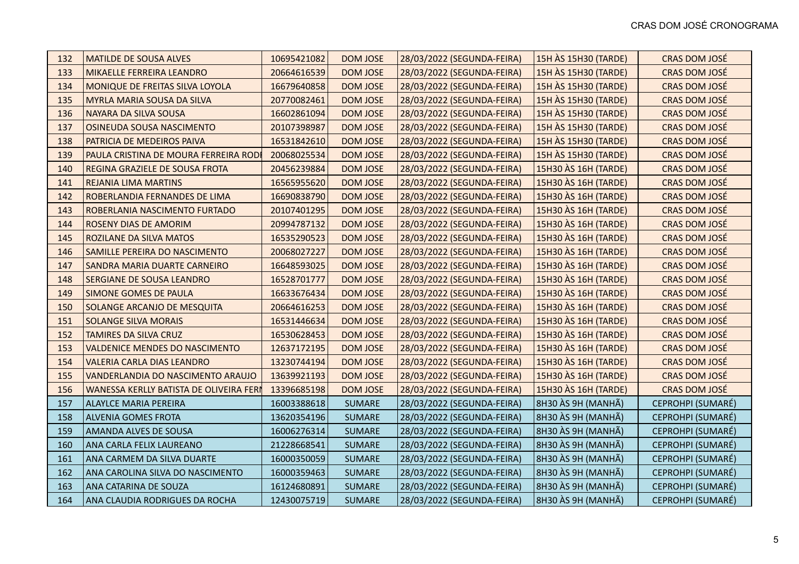| 132 | <b>MATILDE DE SOUSA ALVES</b>                  | 10695421082 | <b>DOM JOSE</b> | 28/03/2022 (SEGUNDA-FEIRA) | 15H ÀS 15H30 (TARDE) | CRAS DOM JOSÉ        |
|-----|------------------------------------------------|-------------|-----------------|----------------------------|----------------------|----------------------|
| 133 | <b>MIKAELLE FERREIRA LEANDRO</b>               | 20664616539 | <b>DOM JOSE</b> | 28/03/2022 (SEGUNDA-FEIRA) | 15H ÀS 15H30 (TARDE) | CRAS DOM JOSÉ        |
| 134 | MONIQUE DE FREITAS SILVA LOYOLA                | 16679640858 | <b>DOM JOSE</b> | 28/03/2022 (SEGUNDA-FEIRA) | 15H ÀS 15H30 (TARDE) | CRAS DOM JOSÉ        |
| 135 | <b>MYRLA MARIA SOUSA DA SILVA</b>              | 20770082461 | <b>DOM JOSE</b> | 28/03/2022 (SEGUNDA-FEIRA) | 15H ÀS 15H30 (TARDE) | CRAS DOM JOSÉ        |
| 136 | NAYARA DA SILVA SOUSA                          | 16602861094 | <b>DOM JOSE</b> | 28/03/2022 (SEGUNDA-FEIRA) | 15H ÀS 15H30 (TARDE) | CRAS DOM JOSÉ        |
| 137 | OSINEUDA SOUSA NASCIMENTO                      | 20107398987 | <b>DOM JOSE</b> | 28/03/2022 (SEGUNDA-FEIRA) | 15H ÀS 15H30 (TARDE) | CRAS DOM JOSÉ        |
| 138 | PATRICIA DE MEDEIROS PAIVA                     | 16531842610 | DOM JOSE        | 28/03/2022 (SEGUNDA-FEIRA) | 15H ÀS 15H30 (TARDE) | CRAS DOM JOSÉ        |
| 139 | PAULA CRISTINA DE MOURA FERREIRA RODI          | 20068025534 | <b>DOM JOSE</b> | 28/03/2022 (SEGUNDA-FEIRA) | 15H ÀS 15H30 (TARDE) | CRAS DOM JOSÉ        |
| 140 | REGINA GRAZIELE DE SOUSA FROTA                 | 20456239884 | <b>DOM JOSE</b> | 28/03/2022 (SEGUNDA-FEIRA) | 15H30 AS 16H (TARDE) | CRAS DOM JOSÉ        |
| 141 | <b>REJANIA LIMA MARTINS</b>                    | 16565955620 | <b>DOM JOSE</b> | 28/03/2022 (SEGUNDA-FEIRA) | 15H30 ÀS 16H (TARDE) | CRAS DOM JOSÉ        |
| 142 | ROBERLANDIA FERNANDES DE LIMA                  | 16690838790 | DOM JOSE        | 28/03/2022 (SEGUNDA-FEIRA) | 15H30 AS 16H (TARDE) | CRAS DOM JOSÉ        |
| 143 | ROBERLANIA NASCIMENTO FURTADO                  | 20107401295 | <b>DOM JOSE</b> | 28/03/2022 (SEGUNDA-FEIRA) | 15H30 AS 16H (TARDE) | CRAS DOM JOSÉ        |
| 144 | <b>ROSENY DIAS DE AMORIM</b>                   | 20994787132 | <b>DOM JOSE</b> | 28/03/2022 (SEGUNDA-FEIRA) | 15H30 AS 16H (TARDE) | <b>CRAS DOM JOSÉ</b> |
| 145 | <b>ROZILANE DA SILVA MATOS</b>                 | 16535290523 | <b>DOM JOSE</b> | 28/03/2022 (SEGUNDA-FEIRA) | 15H30 AS 16H (TARDE) | CRAS DOM JOSÉ        |
| 146 | SAMILLE PEREIRA DO NASCIMENTO                  | 20068027227 | <b>DOM JOSE</b> | 28/03/2022 (SEGUNDA-FEIRA) | 15H30 AS 16H (TARDE) | CRAS DOM JOSÉ        |
| 147 | <b>SANDRA MARIA DUARTE CARNEIRO</b>            | 16648593025 | <b>DOM JOSE</b> | 28/03/2022 (SEGUNDA-FEIRA) | 15H30 AS 16H (TARDE) | CRAS DOM JOSÉ        |
| 148 | <b>SERGIANE DE SOUSA LEANDRO</b>               | 16528701777 | <b>DOM JOSE</b> | 28/03/2022 (SEGUNDA-FEIRA) | 15H30 AS 16H (TARDE) | CRAS DOM JOSÉ        |
| 149 | <b>SIMONE GOMES DE PAULA</b>                   | 16633676434 | <b>DOM JOSE</b> | 28/03/2022 (SEGUNDA-FEIRA) | 15H30 AS 16H (TARDE) | CRAS DOM JOSÉ        |
| 150 | SOLANGE ARCANJO DE MESQUITA                    | 20664616253 | <b>DOM JOSE</b> | 28/03/2022 (SEGUNDA-FEIRA) | 15H30 AS 16H (TARDE) | CRAS DOM JOSÉ        |
| 151 | <b>SOLANGE SILVA MORAIS</b>                    | 16531446634 | <b>DOM JOSE</b> | 28/03/2022 (SEGUNDA-FEIRA) | 15H30 AS 16H (TARDE) | CRAS DOM JOSÉ        |
| 152 | <b>TAMIRES DA SILVA CRUZ</b>                   | 16530628453 | <b>DOM JOSE</b> | 28/03/2022 (SEGUNDA-FEIRA) | 15H30 AS 16H (TARDE) | CRAS DOM JOSÉ        |
| 153 | <b>VALDENICE MENDES DO NASCIMENTO</b>          | 12637172195 | DOM JOSE        | 28/03/2022 (SEGUNDA-FEIRA) | 15H30 AS 16H (TARDE) | CRAS DOM JOSÉ        |
| 154 | <b>VALERIA CARLA DIAS LEANDRO</b>              | 13230744194 | <b>DOM JOSE</b> | 28/03/2022 (SEGUNDA-FEIRA) | 15H30 AS 16H (TARDE) | CRAS DOM JOSÉ        |
| 155 | VANDERLANDIA DO NASCIMENTO ARAUJO              | 13639921193 | <b>DOM JOSE</b> | 28/03/2022 (SEGUNDA-FEIRA) | 15H30 AS 16H (TARDE) | CRAS DOM JOSÉ        |
| 156 | <b>WANESSA KERLLY BATISTA DE OLIVEIRA FERI</b> | 13396685198 | <b>DOM JOSE</b> | 28/03/2022 (SEGUNDA-FEIRA) | 15H30 AS 16H (TARDE) | CRAS DOM JOSÉ        |
| 157 | <b>ALAYLCE MARIA PEREIRA</b>                   | 16003388618 | <b>SUMARE</b>   | 28/03/2022 (SEGUNDA-FEIRA) | 8H30 ÀS 9H (MANHÃ)   | CEPROHPI (SUMARÉ)    |
| 158 | <b>ALVENIA GOMES FROTA</b>                     | 13620354196 | <b>SUMARE</b>   | 28/03/2022 (SEGUNDA-FEIRA) | 8H30 ÀS 9H (MANHÃ)   | CEPROHPI (SUMARÉ)    |
| 159 | AMANDA ALVES DE SOUSA                          | 16006276314 | <b>SUMARE</b>   | 28/03/2022 (SEGUNDA-FEIRA) | 8H30 ÀS 9H (MANHÃ)   | CEPROHPI (SUMARÉ)    |
| 160 | ANA CARLA FELIX LAUREANO                       | 21228668541 | <b>SUMARE</b>   | 28/03/2022 (SEGUNDA-FEIRA) | 8H30 ÀS 9H (MANHÃ)   | CEPROHPI (SUMARÉ)    |
| 161 | ANA CARMEM DA SILVA DUARTE                     | 16000350059 | <b>SUMARE</b>   | 28/03/2022 (SEGUNDA-FEIRA) | 8H30 ÀS 9H (MANHÃ)   | CEPROHPI (SUMARÉ)    |
| 162 | ANA CAROLINA SILVA DO NASCIMENTO               | 16000359463 | <b>SUMARE</b>   | 28/03/2022 (SEGUNDA-FEIRA) | 8H30 ÀS 9H (MANHÃ)   | CEPROHPI (SUMARÉ)    |
| 163 | ANA CATARINA DE SOUZA                          | 16124680891 | <b>SUMARE</b>   | 28/03/2022 (SEGUNDA-FEIRA) | 8H30 ÀS 9H (MANHÃ)   | CEPROHPI (SUMARÉ)    |
| 164 | ANA CLAUDIA RODRIGUES DA ROCHA                 | 12430075719 | <b>SUMARE</b>   | 28/03/2022 (SEGUNDA-FEIRA) | 8H30 ÀS 9H (MANHÃ)   | CEPROHPI (SUMARÉ)    |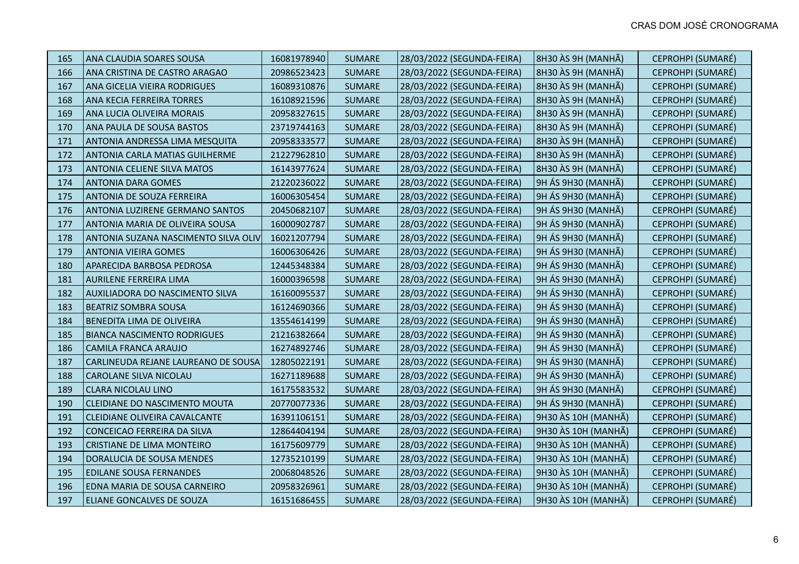| 165 | ANA CLAUDIA SOARES SOUSA               | 16081978940 | <b>SUMARE</b> | 28/03/2022 (SEGUNDA-FEIRA) | 8H30 ÀS 9H (MANHÃ)  | CEPROHPI (SUMARÉ) |
|-----|----------------------------------------|-------------|---------------|----------------------------|---------------------|-------------------|
| 166 | ANA CRISTINA DE CASTRO ARAGAO          | 20986523423 | <b>SUMARE</b> | 28/03/2022 (SEGUNDA-FEIRA) | 8H30 ÀS 9H (MANHÃ)  | CEPROHPI (SUMARÉ) |
| 167 | <b>ANA GICELIA VIEIRA RODRIGUES</b>    | 16089310876 | <b>SUMARE</b> | 28/03/2022 (SEGUNDA-FEIRA) | 8H30 ÀS 9H (MANHÃ)  | CEPROHPI (SUMARÉ) |
| 168 | ANA KECIA FERREIRA TORRES              | 16108921596 | <b>SUMARE</b> | 28/03/2022 (SEGUNDA-FEIRA) | 8H30 ÀS 9H (MANHÃ)  | CEPROHPI (SUMARÉ) |
| 169 | ANA LUCIA OLIVEIRA MORAIS              | 20958327615 | <b>SUMARE</b> | 28/03/2022 (SEGUNDA-FEIRA) | 8H30 ÀS 9H (MANHÃ)  | CEPROHPI (SUMARÉ) |
| 170 | ANA PAULA DE SOUSA BASTOS              | 23719744163 | <b>SUMARE</b> | 28/03/2022 (SEGUNDA-FEIRA) | 8H30 ÀS 9H (MANHÃ)  | CEPROHPI (SUMARÉ) |
| 171 | <b>ANTONIA ANDRESSA LIMA MESQUITA</b>  | 20958333577 | <b>SUMARE</b> | 28/03/2022 (SEGUNDA-FEIRA) | 8H30 ÀS 9H (MANHÃ)  | CEPROHPI (SUMARÉ) |
| 172 | <b>ANTONIA CARLA MATIAS GUILHERME</b>  | 21227962810 | <b>SUMARE</b> | 28/03/2022 (SEGUNDA-FEIRA) | 8H30 ÀS 9H (MANHÃ)  | CEPROHPI (SUMARÉ) |
| 173 | <b>ANTONIA CELIENE SILVA MATOS</b>     | 16143977624 | <b>SUMARE</b> | 28/03/2022 (SEGUNDA-FEIRA) | 8H30 ÀS 9H (MANHÃ)  | CEPROHPI (SUMARÉ) |
| 174 | <b>ANTONIA DARA GOMES</b>              | 21220236022 | <b>SUMARE</b> | 28/03/2022 (SEGUNDA-FEIRA) | 9H ÁS 9H30 (MANHÃ)  | CEPROHPI (SUMARÉ) |
| 175 | <b>ANTONIA DE SOUZA FERREIRA</b>       | 16006305454 | <b>SUMARE</b> | 28/03/2022 (SEGUNDA-FEIRA) | 9H ÁS 9H30 (MANHÃ)  | CEPROHPI (SUMARÉ) |
| 176 | <b>ANTONIA LUZIRENE GERMANO SANTOS</b> | 20450682107 | <b>SUMARE</b> | 28/03/2022 (SEGUNDA-FEIRA) | 9H ÁS 9H30 (MANHÃ)  | CEPROHPI (SUMARÉ) |
| 177 | ANTONIA MARIA DE OLIVEIRA SOUSA        | 16000902787 | <b>SUMARE</b> | 28/03/2022 (SEGUNDA-FEIRA) | 9H ÁS 9H30 (MANHÃ)  | CEPROHPI (SUMARÉ) |
| 178 | ANTONIA SUZANA NASCIMENTO SILVA OLIV   | 16021207794 | <b>SUMARE</b> | 28/03/2022 (SEGUNDA-FEIRA) | 9H ÁS 9H30 (MANHÃ)  | CEPROHPI (SUMARÉ) |
| 179 | <b>ANTONIA VIEIRA GOMES</b>            | 16006306426 | <b>SUMARE</b> | 28/03/2022 (SEGUNDA-FEIRA) | 9H ÁS 9H30 (MANHÃ)  | CEPROHPI (SUMARÉ) |
| 180 | APARECIDA BARBOSA PEDROSA              | 12445348384 | <b>SUMARE</b> | 28/03/2022 (SEGUNDA-FEIRA) | 9H ÁS 9H30 (MANHÃ)  | CEPROHPI (SUMARÉ) |
| 181 | <b>AURILENE FERREIRA LIMA</b>          | 16000396598 | <b>SUMARE</b> | 28/03/2022 (SEGUNDA-FEIRA) | 9H ÁS 9H30 (MANHÃ)  | CEPROHPI (SUMARÉ) |
| 182 | <b>AUXILIADORA DO NASCIMENTO SILVA</b> | 16160095537 | <b>SUMARE</b> | 28/03/2022 (SEGUNDA-FEIRA) | 9H ÁS 9H30 (MANHÃ)  | CEPROHPI (SUMARÉ) |
| 183 | <b>BEATRIZ SOMBRA SOUSA</b>            | 16124690366 | <b>SUMARE</b> | 28/03/2022 (SEGUNDA-FEIRA) | 9H ÁS 9H30 (MANHÃ)  | CEPROHPI (SUMARÉ) |
| 184 | <b>BENEDITA LIMA DE OLIVEIRA</b>       | 13554614199 | <b>SUMARE</b> | 28/03/2022 (SEGUNDA-FEIRA) | 9H ÁS 9H30 (MANHÃ)  | CEPROHPI (SUMARÉ) |
| 185 | <b>BIANCA NASCIMENTO RODRIGUES</b>     | 21216382664 | <b>SUMARE</b> | 28/03/2022 (SEGUNDA-FEIRA) | 9H ÁS 9H30 (MANHÃ)  | CEPROHPI (SUMARÉ) |
| 186 | <b>CAMILA FRANCA ARAUJO</b>            | 16274892746 | <b>SUMARE</b> | 28/03/2022 (SEGUNDA-FEIRA) | 9H ÁS 9H30 (MANHÃ)  | CEPROHPI (SUMARÉ) |
| 187 | CARLINEUDA REJANE LAUREANO DE SOUSA    | 12805022191 | <b>SUMARE</b> | 28/03/2022 (SEGUNDA-FEIRA) | 9H ÁS 9H30 (MANHÃ)  | CEPROHPI (SUMARÉ) |
| 188 | <b>CAROLANE SILVA NICOLAU</b>          | 16271189688 | <b>SUMARE</b> | 28/03/2022 (SEGUNDA-FEIRA) | 9H ÁS 9H30 (MANHÃ)  | CEPROHPI (SUMARÉ) |
| 189 | <b>CLARA NICOLAU LINO</b>              | 16175583532 | <b>SUMARE</b> | 28/03/2022 (SEGUNDA-FEIRA) | 9H ÁS 9H30 (MANHÃ)  | CEPROHPI (SUMARÉ) |
| 190 | CLEIDIANE DO NASCIMENTO MOUTA          | 20770077336 | <b>SUMARE</b> | 28/03/2022 (SEGUNDA-FEIRA) | 9H ÁS 9H30 (MANHÃ)  | CEPROHPI (SUMARÉ) |
| 191 | CLEIDIANE OLIVEIRA CAVALCANTE          | 16391106151 | <b>SUMARE</b> | 28/03/2022 (SEGUNDA-FEIRA) | 9H30 ÀS 10H (MANHÃ) | CEPROHPI (SUMARÉ) |
| 192 | CONCEICAO FERREIRA DA SILVA            | 12864404194 | <b>SUMARE</b> | 28/03/2022 (SEGUNDA-FEIRA) | 9H30 ÀS 10H (MANHÃ) | CEPROHPI (SUMARÉ) |
| 193 | <b>CRISTIANE DE LIMA MONTEIRO</b>      | 16175609779 | <b>SUMARE</b> | 28/03/2022 (SEGUNDA-FEIRA) | 9H30 ÀS 10H (MANHÃ) | CEPROHPI (SUMARÉ) |
| 194 | DORALUCIA DE SOUSA MENDES              | 12735210199 | <b>SUMARE</b> | 28/03/2022 (SEGUNDA-FEIRA) | 9H30 ÀS 10H (MANHÃ) | CEPROHPI (SUMARÉ) |
| 195 | <b>EDILANE SOUSA FERNANDES</b>         | 20068048526 | <b>SUMARE</b> | 28/03/2022 (SEGUNDA-FEIRA) | 9H30 ÀS 10H (MANHÃ) | CEPROHPI (SUMARÉ) |
| 196 | EDNA MARIA DE SOUSA CARNEIRO           | 20958326961 | <b>SUMARE</b> | 28/03/2022 (SEGUNDA-FEIRA) | 9H30 ÀS 10H (MANHÃ) | CEPROHPI (SUMARÉ) |
| 197 | <b>ELIANE GONCALVES DE SOUZA</b>       | 16151686455 | <b>SUMARE</b> | 28/03/2022 (SEGUNDA-FEIRA) | 9H30 ÀS 10H (MANHÃ) | CEPROHPI (SUMARÉ) |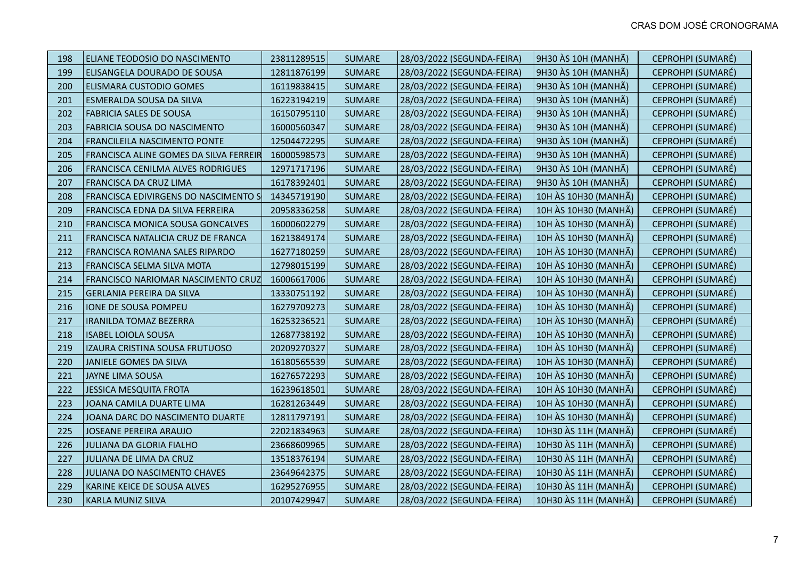| 198 | ELIANE TEODOSIO DO NASCIMENTO          | 23811289515 | <b>SUMARE</b> | 28/03/2022 (SEGUNDA-FEIRA) | 9H30 ÀS 10H (MANHÃ)  | CEPROHPI (SUMARÉ) |
|-----|----------------------------------------|-------------|---------------|----------------------------|----------------------|-------------------|
| 199 | ELISANGELA DOURADO DE SOUSA            | 12811876199 | <b>SUMARE</b> | 28/03/2022 (SEGUNDA-FEIRA) | 9H30 ÀS 10H (MANHÃ)  | CEPROHPI (SUMARÉ) |
| 200 | <b>ELISMARA CUSTODIO GOMES</b>         | 16119838415 | <b>SUMARE</b> | 28/03/2022 (SEGUNDA-FEIRA) | 9H30 ÀS 10H (MANHÃ)  | CEPROHPI (SUMARÉ) |
| 201 | ESMERALDA SOUSA DA SILVA               | 16223194219 | <b>SUMARE</b> | 28/03/2022 (SEGUNDA-FEIRA) | 9H30 ÀS 10H (MANHÃ)  | CEPROHPI (SUMARÉ) |
| 202 | <b>FABRICIA SALES DE SOUSA</b>         | 16150795110 | <b>SUMARE</b> | 28/03/2022 (SEGUNDA-FEIRA) | 9H30 ÀS 10H (MANHÃ)  | CEPROHPI (SUMARÉ) |
| 203 | FABRICIA SOUSA DO NASCIMENTO           | 16000560347 | <b>SUMARE</b> | 28/03/2022 (SEGUNDA-FEIRA) | 9H30 ÀS 10H (MANHÃ)  | CEPROHPI (SUMARÉ) |
| 204 | <b>FRANCILEILA NASCIMENTO PONTE</b>    | 12504472295 | <b>SUMARE</b> | 28/03/2022 (SEGUNDA-FEIRA) | 9H30 ÀS 10H (MANHÃ)  | CEPROHPI (SUMARÉ) |
| 205 | FRANCISCA ALINE GOMES DA SILVA FERREIR | 16000598573 | <b>SUMARE</b> | 28/03/2022 (SEGUNDA-FEIRA) | 9H30 ÀS 10H (MANHÃ)  | CEPROHPI (SUMARÉ) |
| 206 | FRANCISCA CENILMA ALVES RODRIGUES      | 12971717196 | <b>SUMARE</b> | 28/03/2022 (SEGUNDA-FEIRA) | 9H30 ÀS 10H (MANHÃ)  | CEPROHPI (SUMARÉ) |
| 207 | FRANCISCA DA CRUZ LIMA                 | 16178392401 | <b>SUMARE</b> | 28/03/2022 (SEGUNDA-FEIRA) | 9H30 ÀS 10H (MANHÃ)  | CEPROHPI (SUMARÉ) |
| 208 | FRANCISCA EDIVIRGENS DO NASCIMENTO S   | 14345719190 | <b>SUMARE</b> | 28/03/2022 (SEGUNDA-FEIRA) | 10H ÀS 10H30 (MANHÃ) | CEPROHPI (SUMARÉ) |
| 209 | FRANCISCA EDNA DA SILVA FERREIRA       | 20958336258 | <b>SUMARE</b> | 28/03/2022 (SEGUNDA-FEIRA) | 10H ÀS 10H30 (MANHÃ) | CEPROHPI (SUMARÉ) |
| 210 | FRANCISCA MONICA SOUSA GONCALVES       | 16000602279 | <b>SUMARE</b> | 28/03/2022 (SEGUNDA-FEIRA) | 10H ÀS 10H30 (MANHÃ) | CEPROHPI (SUMARÉ) |
| 211 | FRANCISCA NATALICIA CRUZ DE FRANCA     | 16213849174 | <b>SUMARE</b> | 28/03/2022 (SEGUNDA-FEIRA) | 10H ÀS 10H30 (MANHÃ) | CEPROHPI (SUMARÉ) |
| 212 | FRANCISCA ROMANA SALES RIPARDO         | 16277180259 | <b>SUMARE</b> | 28/03/2022 (SEGUNDA-FEIRA) | 10H ÀS 10H30 (MANHÃ) | CEPROHPI (SUMARÉ) |
| 213 | FRANCISCA SELMA SILVA MOTA             | 12798015199 | <b>SUMARE</b> | 28/03/2022 (SEGUNDA-FEIRA) | 10H ÀS 10H30 (MANHÃ) | CEPROHPI (SUMARÉ) |
| 214 | FRANCISCO NARIOMAR NASCIMENTO CRUZ     | 16006617006 | <b>SUMARE</b> | 28/03/2022 (SEGUNDA-FEIRA) | 10H ÀS 10H30 (MANHÃ) | CEPROHPI (SUMARÉ) |
| 215 | <b>GERLANIA PEREIRA DA SILVA</b>       | 13330751192 | <b>SUMARE</b> | 28/03/2022 (SEGUNDA-FEIRA) | 10H ÀS 10H30 (MANHÃ) | CEPROHPI (SUMARÉ) |
| 216 | <b>IONE DE SOUSA POMPEU</b>            | 16279709273 | <b>SUMARE</b> | 28/03/2022 (SEGUNDA-FEIRA) | 10H ÀS 10H30 (MANHÃ) | CEPROHPI (SUMARÉ) |
| 217 | <b>IRANILDA TOMAZ BEZERRA</b>          | 16253236521 | <b>SUMARE</b> | 28/03/2022 (SEGUNDA-FEIRA) | 10H ÀS 10H30 (MANHÃ) | CEPROHPI (SUMARÉ) |
| 218 | <b>ISABEL LOIOLA SOUSA</b>             | 12687738192 | <b>SUMARE</b> | 28/03/2022 (SEGUNDA-FEIRA) | 10H ÀS 10H30 (MANHÃ) | CEPROHPI (SUMARÉ) |
| 219 | IZAURA CRISTINA SOUSA FRUTUOSO         | 20209270327 | <b>SUMARE</b> | 28/03/2022 (SEGUNDA-FEIRA) | 10H ÀS 10H30 (MANHÃ) | CEPROHPI (SUMARÉ) |
| 220 | JANIELE GOMES DA SILVA                 | 16180565539 | <b>SUMARE</b> | 28/03/2022 (SEGUNDA-FEIRA) | 10H ÀS 10H30 (MANHÃ) | CEPROHPI (SUMARÉ) |
| 221 | JAYNE LIMA SOUSA                       | 16276572293 | <b>SUMARE</b> | 28/03/2022 (SEGUNDA-FEIRA) | 10H ÀS 10H30 (MANHÃ) | CEPROHPI (SUMARÉ) |
| 222 | <b>JESSICA MESQUITA FROTA</b>          | 16239618501 | <b>SUMARE</b> | 28/03/2022 (SEGUNDA-FEIRA) | 10H ÀS 10H30 (MANHÃ) | CEPROHPI (SUMARÉ) |
| 223 | JOANA CAMILA DUARTE LIMA               | 16281263449 | <b>SUMARE</b> | 28/03/2022 (SEGUNDA-FEIRA) | 10H ÀS 10H30 (MANHÃ) | CEPROHPI (SUMARÉ) |
| 224 | JOANA DARC DO NASCIMENTO DUARTE        | 12811797191 | <b>SUMARE</b> | 28/03/2022 (SEGUNDA-FEIRA) | 10H ÀS 10H30 (MANHÃ) | CEPROHPI (SUMARÉ) |
| 225 | <b>JOSEANE PEREIRA ARAUJO</b>          | 22021834963 | <b>SUMARE</b> | 28/03/2022 (SEGUNDA-FEIRA) | 10H30 ÀS 11H (MANHÃ) | CEPROHPI (SUMARÉ) |
| 226 | <b>JULIANA DA GLORIA FIALHO</b>        | 23668609965 | <b>SUMARE</b> | 28/03/2022 (SEGUNDA-FEIRA) | 10H30 ÀS 11H (MANHÃ) | CEPROHPI (SUMARÉ) |
| 227 | JULIANA DE LIMA DA CRUZ                | 13518376194 | <b>SUMARE</b> | 28/03/2022 (SEGUNDA-FEIRA) | 10H30 ÀS 11H (MANHÃ) | CEPROHPI (SUMARÉ) |
| 228 | JULIANA DO NASCIMENTO CHAVES           | 23649642375 | <b>SUMARE</b> | 28/03/2022 (SEGUNDA-FEIRA) | 10H30 ÀS 11H (MANHÃ) | CEPROHPI (SUMARÉ) |
| 229 | KARINE KEICE DE SOUSA ALVES            | 16295276955 | <b>SUMARE</b> | 28/03/2022 (SEGUNDA-FEIRA) | 10H30 ÀS 11H (MANHÃ) | CEPROHPI (SUMARÉ) |
| 230 | <b>KARLA MUNIZ SILVA</b>               | 20107429947 | <b>SUMARE</b> | 28/03/2022 (SEGUNDA-FEIRA) | 10H30 ÀS 11H (MANHÃ) | CEPROHPI (SUMARÉ) |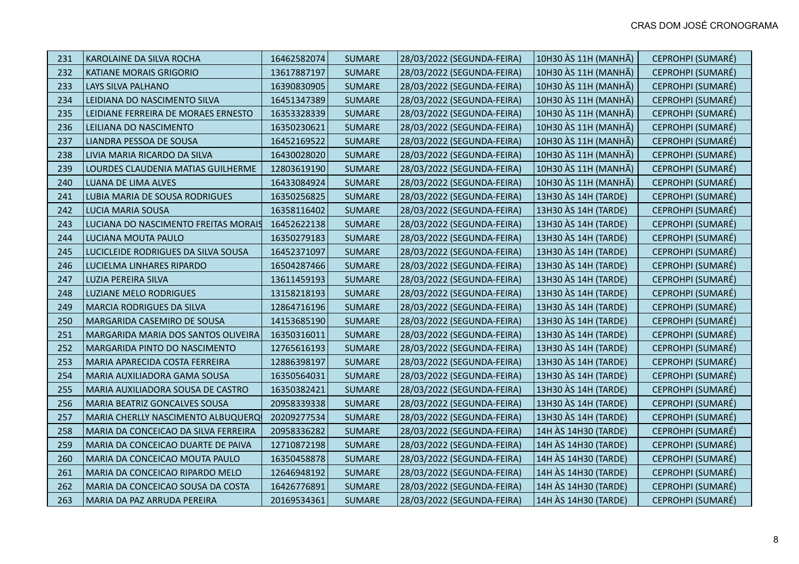| 231 | KAROLAINE DA SILVA ROCHA             | 16462582074 | <b>SUMARE</b> | 28/03/2022 (SEGUNDA-FEIRA) | 10H30 ÀS 11H (MANHÃ) | CEPROHPI (SUMARÉ) |
|-----|--------------------------------------|-------------|---------------|----------------------------|----------------------|-------------------|
| 232 | <b>KATIANE MORAIS GRIGORIO</b>       | 13617887197 | <b>SUMARE</b> | 28/03/2022 (SEGUNDA-FEIRA) | 10H30 ÀS 11H (MANHÃ) | CEPROHPI (SUMARÉ) |
| 233 | LAYS SILVA PALHANO                   | 16390830905 | <b>SUMARE</b> | 28/03/2022 (SEGUNDA-FEIRA) | 10H30 ÀS 11H (MANHÃ) | CEPROHPI (SUMARÉ) |
| 234 | LEIDIANA DO NASCIMENTO SILVA         | 16451347389 | <b>SUMARE</b> | 28/03/2022 (SEGUNDA-FEIRA) | 10H30 ÀS 11H (MANHÃ) | CEPROHPI (SUMARÉ) |
| 235 | LEIDIANE FERREIRA DE MORAES ERNESTO  | 16353328339 | <b>SUMARE</b> | 28/03/2022 (SEGUNDA-FEIRA) | 10H30 ÀS 11H (MANHÃ) | CEPROHPI (SUMARÉ) |
| 236 | LEILIANA DO NASCIMENTO               | 16350230621 | <b>SUMARE</b> | 28/03/2022 (SEGUNDA-FEIRA) | 10H30 ÀS 11H (MANHÃ) | CEPROHPI (SUMARÉ) |
| 237 | LIANDRA PESSOA DE SOUSA              | 16452169522 | <b>SUMARE</b> | 28/03/2022 (SEGUNDA-FEIRA) | 10H30 ÀS 11H (MANHÃ) | CEPROHPI (SUMARÉ) |
| 238 | LIVIA MARIA RICARDO DA SILVA         | 16430028020 | <b>SUMARE</b> | 28/03/2022 (SEGUNDA-FEIRA) | 10H30 ÀS 11H (MANHÃ) | CEPROHPI (SUMARÉ) |
| 239 | LOURDES CLAUDENIA MATIAS GUILHERME   | 12803619190 | <b>SUMARE</b> | 28/03/2022 (SEGUNDA-FEIRA) | 10H30 ÀS 11H (MANHÃ) | CEPROHPI (SUMARÉ) |
| 240 | LUANA DE LIMA ALVES                  | 16433084924 | <b>SUMARE</b> | 28/03/2022 (SEGUNDA-FEIRA) | 10H30 ÀS 11H (MANHÃ) | CEPROHPI (SUMARÉ) |
| 241 | LUBIA MARIA DE SOUSA RODRIGUES       | 16350256825 | <b>SUMARE</b> | 28/03/2022 (SEGUNDA-FEIRA) | 13H30 ÀS 14H (TARDE) | CEPROHPI (SUMARÉ) |
| 242 | <b>LUCIA MARIA SOUSA</b>             | 16358116402 | <b>SUMARE</b> | 28/03/2022 (SEGUNDA-FEIRA) | 13H30 ÀS 14H (TARDE) | CEPROHPI (SUMARÉ) |
| 243 | LUCIANA DO NASCIMENTO FREITAS MORAIS | 16452622138 | <b>SUMARE</b> | 28/03/2022 (SEGUNDA-FEIRA) | 13H30 AS 14H (TARDE) | CEPROHPI (SUMARÉ) |
| 244 | LUCIANA MOUTA PAULO                  | 16350279183 | <b>SUMARE</b> | 28/03/2022 (SEGUNDA-FEIRA) | 13H30 ÀS 14H (TARDE) | CEPROHPI (SUMARÉ) |
| 245 | LUCICLEIDE RODRIGUES DA SILVA SOUSA  | 16452371097 | <b>SUMARE</b> | 28/03/2022 (SEGUNDA-FEIRA) | 13H30 AS 14H (TARDE) | CEPROHPI (SUMARÉ) |
| 246 | LUCIELMA LINHARES RIPARDO            | 16504287466 | <b>SUMARE</b> | 28/03/2022 (SEGUNDA-FEIRA) | 13H30 ÀS 14H (TARDE) | CEPROHPI (SUMARÉ) |
| 247 | LUZIA PEREIRA SILVA                  | 13611459193 | <b>SUMARE</b> | 28/03/2022 (SEGUNDA-FEIRA) | 13H30 ÀS 14H (TARDE) | CEPROHPI (SUMARÉ) |
| 248 | <b>LUZIANE MELO RODRIGUES</b>        | 13158218193 | <b>SUMARE</b> | 28/03/2022 (SEGUNDA-FEIRA) | 13H30 AS 14H (TARDE) | CEPROHPI (SUMARÉ) |
| 249 | MARCIA RODRIGUES DA SILVA            | 12864716196 | <b>SUMARE</b> | 28/03/2022 (SEGUNDA-FEIRA) | 13H30 AS 14H (TARDE) | CEPROHPI (SUMARÉ) |
| 250 | MARGARIDA CASEMIRO DE SOUSA          | 14153685190 | <b>SUMARE</b> | 28/03/2022 (SEGUNDA-FEIRA) | 13H30 AS 14H (TARDE) | CEPROHPI (SUMARÉ) |
| 251 | MARGARIDA MARIA DOS SANTOS OLIVEIRA  | 16350316011 | <b>SUMARE</b> | 28/03/2022 (SEGUNDA-FEIRA) | 13H30 ÀS 14H (TARDE) | CEPROHPI (SUMARÉ) |
| 252 | MARGARIDA PINTO DO NASCIMENTO        | 12765616193 | <b>SUMARE</b> | 28/03/2022 (SEGUNDA-FEIRA) | 13H30 AS 14H (TARDE) | CEPROHPI (SUMARÉ) |
| 253 | MARIA APARECIDA COSTA FERREIRA       | 12886398197 | <b>SUMARE</b> | 28/03/2022 (SEGUNDA-FEIRA) | 13H30 ÀS 14H (TARDE) | CEPROHPI (SUMARÉ) |
| 254 | MARIA AUXILIADORA GAMA SOUSA         | 16350564031 | <b>SUMARE</b> | 28/03/2022 (SEGUNDA-FEIRA) | 13H30 ÀS 14H (TARDE) | CEPROHPI (SUMARÉ) |
| 255 | MARIA AUXILIADORA SOUSA DE CASTRO    | 16350382421 | <b>SUMARE</b> | 28/03/2022 (SEGUNDA-FEIRA) | 13H30 AS 14H (TARDE) | CEPROHPI (SUMARÉ) |
| 256 | MARIA BEATRIZ GONCALVES SOUSA        | 20958339338 | <b>SUMARE</b> | 28/03/2022 (SEGUNDA-FEIRA) | 13H30 ÀS 14H (TARDE) | CEPROHPI (SUMARÉ) |
| 257 | MARIA CHERLLY NASCIMENTO ALBUQUERQ   | 20209277534 | <b>SUMARE</b> | 28/03/2022 (SEGUNDA-FEIRA) | 13H30 ÀS 14H (TARDE) | CEPROHPI (SUMARÉ) |
| 258 | MARIA DA CONCEICAO DA SILVA FERREIRA | 20958336282 | <b>SUMARE</b> | 28/03/2022 (SEGUNDA-FEIRA) | 14H ÀS 14H30 (TARDE) | CEPROHPI (SUMARÉ) |
| 259 | MARIA DA CONCEICAO DUARTE DE PAIVA   | 12710872198 | <b>SUMARE</b> | 28/03/2022 (SEGUNDA-FEIRA) | 14H ÀS 14H30 (TARDE) | CEPROHPI (SUMARÉ) |
| 260 | MARIA DA CONCEICAO MOUTA PAULO       | 16350458878 | <b>SUMARE</b> | 28/03/2022 (SEGUNDA-FEIRA) | 14H ÀS 14H30 (TARDE) | CEPROHPI (SUMARÉ) |
| 261 | MARIA DA CONCEICAO RIPARDO MELO      | 12646948192 | <b>SUMARE</b> | 28/03/2022 (SEGUNDA-FEIRA) | 14H ÀS 14H30 (TARDE) | CEPROHPI (SUMARÉ) |
| 262 | MARIA DA CONCEICAO SOUSA DA COSTA    | 16426776891 | <b>SUMARE</b> | 28/03/2022 (SEGUNDA-FEIRA) | 14H ÀS 14H30 (TARDE) | CEPROHPI (SUMARÉ) |
| 263 | MARIA DA PAZ ARRUDA PEREIRA          | 20169534361 | <b>SUMARE</b> | 28/03/2022 (SEGUNDA-FEIRA) | 14H ÀS 14H30 (TARDE) | CEPROHPI (SUMARÉ) |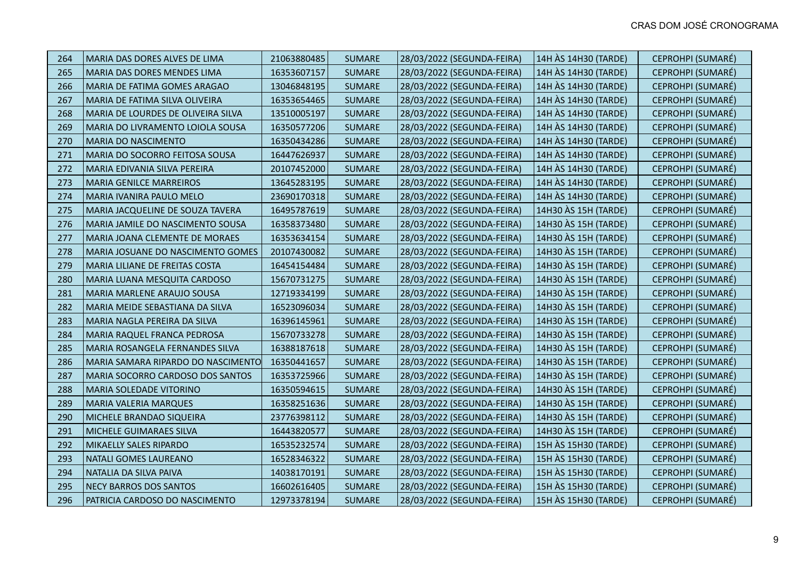| 264 | MARIA DAS DORES ALVES DE LIMA            | 21063880485 | <b>SUMARE</b> | 28/03/2022 (SEGUNDA-FEIRA) | 14H ÀS 14H30 (TARDE) | CEPROHPI (SUMARÉ) |
|-----|------------------------------------------|-------------|---------------|----------------------------|----------------------|-------------------|
| 265 | MARIA DAS DORES MENDES LIMA              | 16353607157 | <b>SUMARE</b> | 28/03/2022 (SEGUNDA-FEIRA) | 14H ÀS 14H30 (TARDE) | CEPROHPI (SUMARÉ) |
| 266 | MARIA DE FATIMA GOMES ARAGAO             | 13046848195 | <b>SUMARE</b> | 28/03/2022 (SEGUNDA-FEIRA) | 14H ÀS 14H30 (TARDE) | CEPROHPI (SUMARÉ) |
| 267 | MARIA DE FATIMA SILVA OLIVEIRA           | 16353654465 | <b>SUMARE</b> | 28/03/2022 (SEGUNDA-FEIRA) | 14H ÀS 14H30 (TARDE) | CEPROHPI (SUMARÉ) |
| 268 | MARIA DE LOURDES DE OLIVEIRA SILVA       | 13510005197 | <b>SUMARE</b> | 28/03/2022 (SEGUNDA-FEIRA) | 14H ÀS 14H30 (TARDE) | CEPROHPI (SUMARÉ) |
| 269 | MARIA DO LIVRAMENTO LOIOLA SOUSA         | 16350577206 | <b>SUMARE</b> | 28/03/2022 (SEGUNDA-FEIRA) | 14H ÀS 14H30 (TARDE) | CEPROHPI (SUMARÉ) |
| 270 | <b>MARIA DO NASCIMENTO</b>               | 16350434286 | <b>SUMARE</b> | 28/03/2022 (SEGUNDA-FEIRA) | 14H ÀS 14H30 (TARDE) | CEPROHPI (SUMARÉ) |
| 271 | MARIA DO SOCORRO FEITOSA SOUSA           | 16447626937 | <b>SUMARE</b> | 28/03/2022 (SEGUNDA-FEIRA) | 14H ÀS 14H30 (TARDE) | CEPROHPI (SUMARÉ) |
| 272 | MARIA EDIVANIA SILVA PEREIRA             | 20107452000 | <b>SUMARE</b> | 28/03/2022 (SEGUNDA-FEIRA) | 14H ÀS 14H30 (TARDE) | CEPROHPI (SUMARÉ) |
| 273 | <b>MARIA GENILCE MARREIROS</b>           | 13645283195 | <b>SUMARE</b> | 28/03/2022 (SEGUNDA-FEIRA) | 14H ÀS 14H30 (TARDE) | CEPROHPI (SUMARÉ) |
| 274 | MARIA IVANIRA PAULO MELO                 | 23690170318 | <b>SUMARE</b> | 28/03/2022 (SEGUNDA-FEIRA) | 14H ÀS 14H30 (TARDE) | CEPROHPI (SUMARÉ) |
| 275 | MARIA JACQUELINE DE SOUZA TAVERA         | 16495787619 | <b>SUMARE</b> | 28/03/2022 (SEGUNDA-FEIRA) | 14H30 AS 15H (TARDE) | CEPROHPI (SUMARÉ) |
| 276 | MARIA JAMILE DO NASCIMENTO SOUSA         | 16358373480 | <b>SUMARE</b> | 28/03/2022 (SEGUNDA-FEIRA) | 14H30 AS 15H (TARDE) | CEPROHPI (SUMARÉ) |
| 277 | MARIA JOANA CLEMENTE DE MORAES           | 16353634154 | <b>SUMARE</b> | 28/03/2022 (SEGUNDA-FEIRA) | 14H30 ÀS 15H (TARDE) | CEPROHPI (SUMARÉ) |
| 278 | <b>MARIA JOSUANE DO NASCIMENTO GOMES</b> | 20107430082 | <b>SUMARE</b> | 28/03/2022 (SEGUNDA-FEIRA) | 14H30 AS 15H (TARDE) | CEPROHPI (SUMARÉ) |
| 279 | MARIA LILIANE DE FREITAS COSTA           | 16454154484 | <b>SUMARE</b> | 28/03/2022 (SEGUNDA-FEIRA) | 14H30 ÀS 15H (TARDE) | CEPROHPI (SUMARÉ) |
| 280 | MARIA LUANA MESQUITA CARDOSO             | 15670731275 | <b>SUMARE</b> | 28/03/2022 (SEGUNDA-FEIRA) | 14H30 ÀS 15H (TARDE) | CEPROHPI (SUMARÉ) |
| 281 | MARIA MARLENE ARAUJO SOUSA               | 12719334199 | <b>SUMARE</b> | 28/03/2022 (SEGUNDA-FEIRA) | 14H30 AS 15H (TARDE) | CEPROHPI (SUMARÉ) |
| 282 | MARIA MEIDE SEBASTIANA DA SILVA          | 16523096034 | <b>SUMARE</b> | 28/03/2022 (SEGUNDA-FEIRA) | 14H30 AS 15H (TARDE) | CEPROHPI (SUMARÉ) |
| 283 | MARIA NAGLA PEREIRA DA SILVA             | 16396145961 | <b>SUMARE</b> | 28/03/2022 (SEGUNDA-FEIRA) | 14H30 AS 15H (TARDE) | CEPROHPI (SUMARÉ) |
| 284 | MARIA RAQUEL FRANCA PEDROSA              | 15670733278 | <b>SUMARE</b> | 28/03/2022 (SEGUNDA-FEIRA) | 14H30 ÀS 15H (TARDE) | CEPROHPI (SUMARÉ) |
| 285 | MARIA ROSANGELA FERNANDES SILVA          | 16388187618 | <b>SUMARE</b> | 28/03/2022 (SEGUNDA-FEIRA) | 14H30 AS 15H (TARDE) | CEPROHPI (SUMARÉ) |
| 286 | MARIA SAMARA RIPARDO DO NASCIMENTO       | 16350441657 | <b>SUMARE</b> | 28/03/2022 (SEGUNDA-FEIRA) | 14H30 ÀS 15H (TARDE) | CEPROHPI (SUMARÉ) |
| 287 | MARIA SOCORRO CARDOSO DOS SANTOS         | 16353725966 | <b>SUMARE</b> | 28/03/2022 (SEGUNDA-FEIRA) | 14H30 AS 15H (TARDE) | CEPROHPI (SUMARÉ) |
| 288 | MARIA SOLEDADE VITORINO                  | 16350594615 | <b>SUMARE</b> | 28/03/2022 (SEGUNDA-FEIRA) | 14H30 ÀS 15H (TARDE) | CEPROHPI (SUMARÉ) |
| 289 | <b>MARIA VALERIA MARQUES</b>             | 16358251636 | <b>SUMARE</b> | 28/03/2022 (SEGUNDA-FEIRA) | 14H30 ÀS 15H (TARDE) | CEPROHPI (SUMARÉ) |
| 290 | MICHELE BRANDAO SIQUEIRA                 | 23776398112 | <b>SUMARE</b> | 28/03/2022 (SEGUNDA-FEIRA) | 14H30 ÀS 15H (TARDE) | CEPROHPI (SUMARÉ) |
| 291 | MICHELE GUIMARAES SILVA                  | 16443820577 | <b>SUMARE</b> | 28/03/2022 (SEGUNDA-FEIRA) | 14H30 AS 15H (TARDE) | CEPROHPI (SUMARÉ) |
| 292 | MIKAELLY SALES RIPARDO                   | 16535232574 | <b>SUMARE</b> | 28/03/2022 (SEGUNDA-FEIRA) | 15H ÀS 15H30 (TARDE) | CEPROHPI (SUMARÉ) |
| 293 | NATALI GOMES LAUREANO                    | 16528346322 | <b>SUMARE</b> | 28/03/2022 (SEGUNDA-FEIRA) | 15H ÀS 15H30 (TARDE) | CEPROHPI (SUMARÉ) |
| 294 | NATALIA DA SILVA PAIVA                   | 14038170191 | <b>SUMARE</b> | 28/03/2022 (SEGUNDA-FEIRA) | 15H ÀS 15H30 (TARDE) | CEPROHPI (SUMARÉ) |
| 295 | NECY BARROS DOS SANTOS                   | 16602616405 | <b>SUMARE</b> | 28/03/2022 (SEGUNDA-FEIRA) | 15H ÀS 15H30 (TARDE) | CEPROHPI (SUMARÉ) |
| 296 | PATRICIA CARDOSO DO NASCIMENTO           | 12973378194 | <b>SUMARE</b> | 28/03/2022 (SEGUNDA-FEIRA) | 15H ÀS 15H30 (TARDE) | CEPROHPI (SUMARÉ) |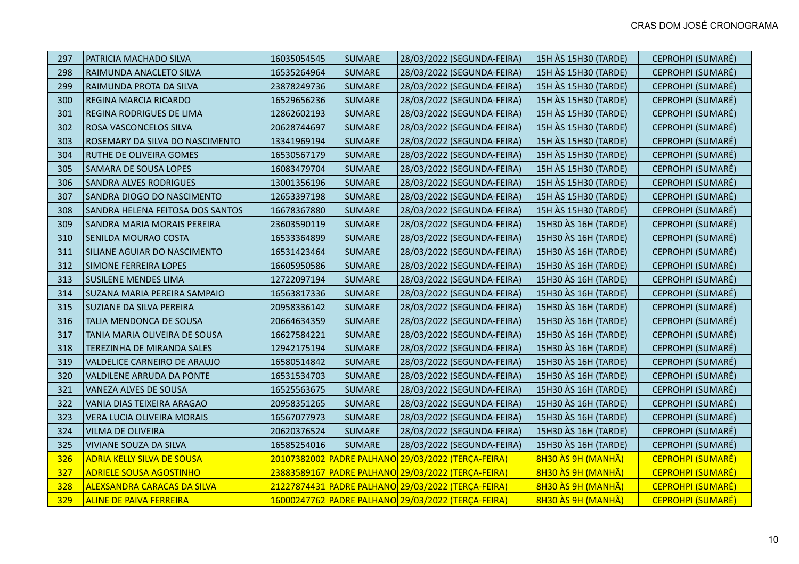| 297 | PATRICIA MACHADO SILVA             | 16035054545 | <b>SUMARE</b> | 28/03/2022 (SEGUNDA-FEIRA)                         | 15H ÀS 15H30 (TARDE) | CEPROHPI (SUMARÉ)        |
|-----|------------------------------------|-------------|---------------|----------------------------------------------------|----------------------|--------------------------|
| 298 | RAIMUNDA ANACLETO SILVA            | 16535264964 | <b>SUMARE</b> | 28/03/2022 (SEGUNDA-FEIRA)                         | 15H ÀS 15H30 (TARDE) | CEPROHPI (SUMARÉ)        |
| 299 | RAIMUNDA PROTA DA SILVA            | 23878249736 | <b>SUMARE</b> | 28/03/2022 (SEGUNDA-FEIRA)                         | 15H ÀS 15H30 (TARDE) | CEPROHPI (SUMARÉ)        |
| 300 | <b>REGINA MARCIA RICARDO</b>       | 16529656236 | <b>SUMARE</b> | 28/03/2022 (SEGUNDA-FEIRA)                         | 15H ÀS 15H30 (TARDE) | CEPROHPI (SUMARÉ)        |
| 301 | REGINA RODRIGUES DE LIMA           | 12862602193 | <b>SUMARE</b> | 28/03/2022 (SEGUNDA-FEIRA)                         | 15H ÀS 15H30 (TARDE) | CEPROHPI (SUMARÉ)        |
| 302 | ROSA VASCONCELOS SILVA             | 20628744697 | <b>SUMARE</b> | 28/03/2022 (SEGUNDA-FEIRA)                         | 15H ÀS 15H30 (TARDE) | CEPROHPI (SUMARÉ)        |
| 303 | ROSEMARY DA SILVA DO NASCIMENTO    | 13341969194 | <b>SUMARE</b> | 28/03/2022 (SEGUNDA-FEIRA)                         | 15H ÀS 15H30 (TARDE) | CEPROHPI (SUMARÉ)        |
| 304 | RUTHE DE OLIVEIRA GOMES            | 16530567179 | <b>SUMARE</b> | 28/03/2022 (SEGUNDA-FEIRA)                         | 15H ÀS 15H30 (TARDE) | CEPROHPI (SUMARÉ)        |
| 305 | SAMARA DE SOUSA LOPES              | 16083479704 | <b>SUMARE</b> | 28/03/2022 (SEGUNDA-FEIRA)                         | 15H ÀS 15H30 (TARDE) | CEPROHPI (SUMARÉ)        |
| 306 | <b>SANDRA ALVES RODRIGUES</b>      | 13001356196 | <b>SUMARE</b> | 28/03/2022 (SEGUNDA-FEIRA)                         | 15H ÀS 15H30 (TARDE) | CEPROHPI (SUMARÉ)        |
| 307 | SANDRA DIOGO DO NASCIMENTO         | 12653397198 | <b>SUMARE</b> | 28/03/2022 (SEGUNDA-FEIRA)                         | 15H ÀS 15H30 (TARDE) | CEPROHPI (SUMARÉ)        |
| 308 | SANDRA HELENA FEITOSA DOS SANTOS   | 16678367880 | <b>SUMARE</b> | 28/03/2022 (SEGUNDA-FEIRA)                         | 15H ÀS 15H30 (TARDE) | CEPROHPI (SUMARÉ)        |
| 309 | SANDRA MARIA MORAIS PEREIRA        | 23603590119 | <b>SUMARE</b> | 28/03/2022 (SEGUNDA-FEIRA)                         | 15H30 AS 16H (TARDE) | CEPROHPI (SUMARÉ)        |
| 310 | SENILDA MOURAO COSTA               | 16533364899 | <b>SUMARE</b> | 28/03/2022 (SEGUNDA-FEIRA)                         | 15H30 AS 16H (TARDE) | CEPROHPI (SUMARÉ)        |
| 311 | SILIANE AGUIAR DO NASCIMENTO       | 16531423464 | <b>SUMARE</b> | 28/03/2022 (SEGUNDA-FEIRA)                         | 15H30 AS 16H (TARDE) | CEPROHPI (SUMARÉ)        |
| 312 | <b>SIMONE FERREIRA LOPES</b>       | 16605950586 | <b>SUMARE</b> | 28/03/2022 (SEGUNDA-FEIRA)                         | 15H30 ÀS 16H (TARDE) | CEPROHPI (SUMARÉ)        |
| 313 | <b>SUSILENE MENDES LIMA</b>        | 12722097194 | <b>SUMARE</b> | 28/03/2022 (SEGUNDA-FEIRA)                         | 15H30 AS 16H (TARDE) | CEPROHPI (SUMARÉ)        |
| 314 | SUZANA MARIA PEREIRA SAMPAIO       | 16563817336 | <b>SUMARE</b> | 28/03/2022 (SEGUNDA-FEIRA)                         | 15H30 ÀS 16H (TARDE) | CEPROHPI (SUMARÉ)        |
| 315 | SUZIANE DA SILVA PEREIRA           | 20958336142 | <b>SUMARE</b> | 28/03/2022 (SEGUNDA-FEIRA)                         | 15H30 AS 16H (TARDE) | CEPROHPI (SUMARÉ)        |
| 316 | TALIA MENDONCA DE SOUSA            | 20664634359 | <b>SUMARE</b> | 28/03/2022 (SEGUNDA-FEIRA)                         | 15H30 AS 16H (TARDE) | CEPROHPI (SUMARÉ)        |
| 317 | TANIA MARIA OLIVEIRA DE SOUSA      | 16627584221 | <b>SUMARE</b> | 28/03/2022 (SEGUNDA-FEIRA)                         | 15H30 AS 16H (TARDE) | CEPROHPI (SUMARÉ)        |
| 318 | TEREZINHA DE MIRANDA SALES         | 12942175194 | <b>SUMARE</b> | 28/03/2022 (SEGUNDA-FEIRA)                         | 15H30 AS 16H (TARDE) | CEPROHPI (SUMARÉ)        |
| 319 | VALDELICE CARNEIRO DE ARAUJO       | 16580514842 | <b>SUMARE</b> | 28/03/2022 (SEGUNDA-FEIRA)                         | 15H30 AS 16H (TARDE) | CEPROHPI (SUMARÉ)        |
| 320 | VALDILENE ARRUDA DA PONTE          | 16531534703 | <b>SUMARE</b> | 28/03/2022 (SEGUNDA-FEIRA)                         | 15H30 AS 16H (TARDE) | CEPROHPI (SUMARÉ)        |
| 321 | VANEZA ALVES DE SOUSA              | 16525563675 | <b>SUMARE</b> | 28/03/2022 (SEGUNDA-FEIRA)                         | 15H30 AS 16H (TARDE) | CEPROHPI (SUMARÉ)        |
| 322 | VANIA DIAS TEIXEIRA ARAGAO         | 20958351265 | <b>SUMARE</b> | 28/03/2022 (SEGUNDA-FEIRA)                         | 15H30 AS 16H (TARDE) | CEPROHPI (SUMARÉ)        |
| 323 | VERA LUCIA OLIVEIRA MORAIS         | 16567077973 | <b>SUMARE</b> | 28/03/2022 (SEGUNDA-FEIRA)                         | 15H30 AS 16H (TARDE) | CEPROHPI (SUMARÉ)        |
| 324 | <b>VILMA DE OLIVEIRA</b>           | 20620376524 | <b>SUMARE</b> | 28/03/2022 (SEGUNDA-FEIRA)                         | 15H30 AS 16H (TARDE) | CEPROHPI (SUMARÉ)        |
| 325 | VIVIANE SOUZA DA SILVA             | 16585254016 | <b>SUMARE</b> | 28/03/2022 (SEGUNDA-FEIRA)                         | 15H30 ÀS 16H (TARDE) | CEPROHPI (SUMARÉ)        |
| 326 | <b>ADRIA KELLY SILVA DE SOUSA</b>  |             |               | 20107382002 PADRE PALHANO 29/03/2022 (TERÇA-FEIRA) | 8H30 ÀS 9H (MANHÃ)   | <b>CEPROHPI (SUMARÉ)</b> |
| 327 | <b>ADRIELE SOUSA AGOSTINHO</b>     |             |               | 23883589167 PADRE PALHANO 29/03/2022 (TERÇA-FEIRA) | 8H30 ÀS 9H (MANHÃ)   | <b>CEPROHPI (SUMARÉ)</b> |
| 328 | <b>ALEXSANDRA CARACAS DA SILVA</b> |             |               | 21227874431 PADRE PALHANO 29/03/2022 (TERCA-FEIRA) | 8H30 ÀS 9H (MANHÃ)   | <b>CEPROHPI (SUMARÉ)</b> |
| 329 | <b>ALINE DE PAIVA FERREIRA</b>     |             |               | 16000247762 PADRE PALHANO 29/03/2022 (TERÇA-FEIRA) | 8H30 ÀS 9H (MANHÃ)   | <b>CEPROHPI (SUMARÉ)</b> |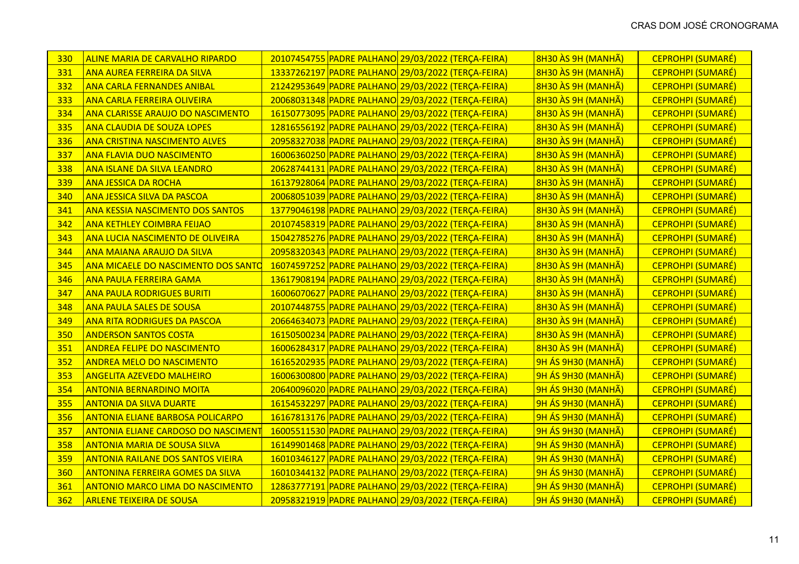| 330 | <b>ALINE MARIA DE CARVALHO RIPARDO</b>     |  | 20107454755 PADRE PALHANO 29/03/2022 (TERÇA-FEIRA) | 8H30 ÀS 9H (MANHÃ)        | <b>CEPROHPI (SUMARÉ)</b> |
|-----|--------------------------------------------|--|----------------------------------------------------|---------------------------|--------------------------|
| 331 | <b>ANA AUREA FERREIRA DA SILVA</b>         |  | 13337262197 PADRE PALHANO 29/03/2022 (TERÇA-FEIRA) | 8H30 ÀS 9H (MANHÃ)        | <b>CEPROHPI (SUMARÉ)</b> |
| 332 | <b>ANA CARLA FERNANDES ANIBAL</b>          |  | 21242953649 PADRE PALHANO 29/03/2022 (TERÇA-FEIRA) | 8H30 ÀS 9H (MANHÃ)        | CEPROHPI (SUMARÉ)        |
| 333 | <b>ANA CARLA FERREIRA OLIVEIRA</b>         |  | 20068031348 PADRE PALHANO 29/03/2022 (TERÇA-FEIRA) | 8H30 ÀS 9H (MANHÃ)        | <b>CEPROHPI (SUMARÉ)</b> |
| 334 | ANA CLARISSE ARAUJO DO NASCIMENTO          |  | 16150773095 PADRE PALHANO 29/03/2022 (TERÇA-FEIRA) | 8H30 ÀS 9H (MANHÃ)        | <b>CEPROHPI (SUMARÉ)</b> |
| 335 | <b>ANA CLAUDIA DE SOUZA LOPES</b>          |  | 12816556192 PADRE PALHANO 29/03/2022 (TERÇA-FEIRA) | 8H30 ÀS 9H (MANHÃ)        | <b>CEPROHPI (SUMARÉ)</b> |
| 336 | <b>ANA CRISTINA NASCIMENTO ALVES</b>       |  | 20958327038 PADRE PALHANO 29/03/2022 (TERÇA-FEIRA) | 8H30 ÀS 9H (MANHÃ)        | CEPROHPI (SUMARÉ)        |
| 337 | <b>ANA FLAVIA DUO NASCIMENTO</b>           |  | 16006360250 PADRE PALHANO 29/03/2022 (TERÇA-FEIRA) | 8H30 ÀS 9H (MANHÃ)        | <b>CEPROHPI (SUMARÉ)</b> |
| 338 | <b>ANA ISLANE DA SILVA LEANDRO</b>         |  | 20628744131 PADRE PALHANO 29/03/2022 (TERÇA-FEIRA) | 8H30 ÀS 9H (MANHÃ)        | <b>CEPROHPI (SUMARÉ)</b> |
| 339 | <b>ANA JESSICA DA ROCHA</b>                |  | 16137928064 PADRE PALHANO 29/03/2022 (TERÇA-FEIRA) | 8H30 ÀS 9H (MANHÃ)        | CEPROHPI (SUMARÉ)        |
| 340 | <b>ANA JESSICA SILVA DA PASCOA</b>         |  | 20068051039 PADRE PALHANO 29/03/2022 (TERÇA-FEIRA) | 8H30 ÀS 9H (MANHÃ)        | <b>CEPROHPI (SUMARÉ)</b> |
| 341 | <b>ANA KESSIA NASCIMENTO DOS SANTOS</b>    |  | 13779046198 PADRE PALHANO 29/03/2022 (TERÇA-FEIRA) | 8H30 ÀS 9H (MANHÃ)        | <b>CEPROHPI (SUMARÉ)</b> |
| 342 | <b>ANA KETHLEY COIMBRA FEIJAO</b>          |  | 20107458319 PADRE PALHANO 29/03/2022 (TERÇA-FEIRA) | 8H30 ÀS 9H (MANHÃ)        | <b>CEPROHPI (SUMARÉ)</b> |
| 343 | ANA LUCIA NASCIMENTO DE OLIVEIRA           |  | 15042785276 PADRE PALHANO 29/03/2022 (TERÇA-FEIRA) | 8H30 ÀS 9H (MANHÃ)        | <b>CEPROHPI (SUMARÉ)</b> |
| 344 | <b>ANA MAIANA ARAUJO DA SILVA</b>          |  | 20958320343 PADRE PALHANO 29/03/2022 (TERÇA-FEIRA) | 8H30 ÀS 9H (MANHÃ)        | CEPROHPI (SUMARÉ)        |
| 345 | ANA MICAELE DO NASCIMENTO DOS SANTO        |  | 16074597252 PADRE PALHANO 29/03/2022 (TERÇA-FEIRA) | 8H30 ÀS 9H (MANHÃ)        | <b>CEPROHPI (SUMARÉ)</b> |
| 346 | <b>ANA PAULA FERREIRA GAMA</b>             |  | 13617908194 PADRE PALHANO 29/03/2022 (TERÇA-FEIRA) | 8H30 ÀS 9H (MANHÃ)        | <b>CEPROHPI (SUMARÉ)</b> |
| 347 | <b>ANA PAULA RODRIGUES BURITI</b>          |  | 16006070627 PADRE PALHANO 29/03/2022 (TERÇA-FEIRA) | 8H30 ÀS 9H (MANHÃ)        | CEPROHPI (SUMARÉ)        |
| 348 | <b>ANA PAULA SALES DE SOUSA</b>            |  | 20107448755 PADRE PALHANO 29/03/2022 (TERÇA-FEIRA) | 8H30 ÀS 9H (MANHÃ)        | <b>CEPROHPI (SUMARÉ)</b> |
| 349 | <b>ANA RITA RODRIGUES DA PASCOA</b>        |  | 20664634073 PADRE PALHANO 29/03/2022 (TERÇA-FEIRA) | 8H30 ÀS 9H (MANHÃ)        | <b>CEPROHPI (SUMARÉ)</b> |
| 350 | <b>ANDERSON SANTOS COSTA</b>               |  | 16150500234 PADRE PALHANO 29/03/2022 (TERÇA-FEIRA) | 8H30 ÀS 9H (MANHÃ)        | CEPROHPI (SUMARÉ)        |
| 351 | <b>ANDREA FELIPE DO NASCIMENTO</b>         |  | 16006284317 PADRE PALHANO 29/03/2022 (TERÇA-FEIRA) | 8H30 ÀS 9H (MANHÃ)        | <b>CEPROHPI (SUMARÉ)</b> |
| 352 | <b>ANDREA MELO DO NASCIMENTO</b>           |  | 16165202935 PADRE PALHANO 29/03/2022 (TERÇA-FEIRA) | 9H ÁS 9H30 (MANHÃ)        | <b>CEPROHPI (SUMARÉ)</b> |
| 353 | <b>ANGELITA AZEVEDO MALHEIRO</b>           |  | 16006300800 PADRE PALHANO 29/03/2022 (TERÇA-FEIRA) | 9H ÁS 9H30 (MANHÃ)        | <b>CEPROHPI (SUMARÉ)</b> |
| 354 | <b>ANTONIA BERNARDINO MOITA</b>            |  | 20640096020 PADRE PALHANO 29/03/2022 (TERÇA-FEIRA) | 9H ÁS 9H30 (MANHÃ)        | CEPROHPI (SUMARÉ)        |
| 355 | <b>ANTONIA DA SILVA DUARTE</b>             |  | 16154532297 PADRE PALHANO 29/03/2022 (TERÇA-FEIRA) | <b>9H ÁS 9H30 (MANHÃ)</b> | <b>CEPROHPI (SUMARÉ)</b> |
| 356 | <b>ANTONIA ELIANE BARBOSA POLICARPO</b>    |  | 16167813176 PADRE PALHANO 29/03/2022 (TERÇA-FEIRA) | 9H ÁS 9H30 (MANHÃ)        | <b>CEPROHPI (SUMARÉ)</b> |
| 357 | <b>ANTONIA ELIANE CARDOSO DO NASCIMENT</b> |  | 16005511530 PADRE PALHANO 29/03/2022 (TERÇA-FEIRA) | 9H ÁS 9H30 (MANHÃ)        | <b>CEPROHPI (SUMARÉ)</b> |
| 358 | <b>ANTONIA MARIA DE SOUSA SILVA</b>        |  | 16149901468 PADRE PALHANO 29/03/2022 (TERÇA-FEIRA) | 9H ÁS 9H30 (MANHÃ)        | CEPROHPI (SUMARÉ)        |
| 359 | <b>ANTONIA RAILANE DOS SANTOS VIEIRA</b>   |  | 16010346127 PADRE PALHANO 29/03/2022 (TERÇA-FEIRA) | 9H ÁS 9H30 (MANHÃ)        | <b>CEPROHPI (SUMARÉ)</b> |
| 360 | <b>ANTONINA FERREIRA GOMES DA SILVA</b>    |  | 16010344132 PADRE PALHANO 29/03/2022 (TERÇA-FEIRA) | 9H ÁS 9H30 (MANHÃ)        | CEPROHPI (SUMARÉ)        |
| 361 | <b>ANTONIO MARCO LIMA DO NASCIMENTO</b>    |  | 12863777191 PADRE PALHANO 29/03/2022 (TERÇA-FEIRA) | 9H ÁS 9H30 (MANHÃ)        | <b>CEPROHPI (SUMARÉ)</b> |
| 362 | <b>ARLENE TEIXEIRA DE SOUSA</b>            |  | 20958321919 PADRE PALHANO 29/03/2022 (TERÇA-FEIRA) | 9H ÁS 9H30 (MANHÃ)        | CEPROHPI (SUMARÉ)        |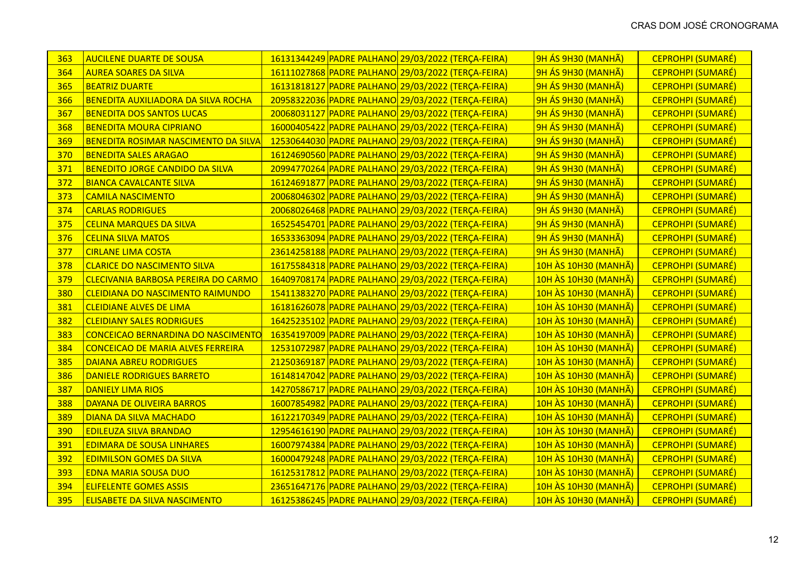| 363 | <b>AUCILENE DUARTE DE SOUSA</b>             |  | 16131344249 PADRE PALHANO 29/03/2022 (TERÇA-FEIRA) | 9H ÁS 9H30 (MANHÃ)          | <b>CEPROHPI (SUMARÉ)</b> |
|-----|---------------------------------------------|--|----------------------------------------------------|-----------------------------|--------------------------|
| 364 | <b>AUREA SOARES DA SILVA</b>                |  | 16111027868 PADRE PALHANO 29/03/2022 (TERÇA-FEIRA) | 9H ÁS 9H30 (MANHÃ)          | <b>CEPROHPI (SUMARÉ)</b> |
| 365 | <b>BEATRIZ DUARTE</b>                       |  | 16131818127 PADRE PALHANO 29/03/2022 (TERÇA-FEIRA) | 9H ÁS 9H30 (MANHÃ)          | CEPROHPI (SUMARÉ)        |
| 366 | <b>BENEDITA AUXILIADORA DA SILVA ROCHA</b>  |  | 20958322036 PADRE PALHANO 29/03/2022 (TERÇA-FEIRA) | 9H ÁS 9H30 (MANHÃ)          | <b>CEPROHPI (SUMARÉ)</b> |
| 367 | <b>BENEDITA DOS SANTOS LUCAS</b>            |  | 20068031127 PADRE PALHANO 29/03/2022 (TERÇA-FEIRA) | 9H ÁS 9H30 (MANHÃ)          | <b>CEPROHPI (SUMARÉ)</b> |
| 368 | <b>BENEDITA MOURA CIPRIANO</b>              |  | 16000405422 PADRE PALHANO 29/03/2022 (TERÇA-FEIRA) | 9H ÁS 9H30 (MANHÃ)          | <b>CEPROHPI (SUMARÉ)</b> |
| 369 | <b>BENEDITA ROSIMAR NASCIMENTO DA SILVA</b> |  | 12530644030 PADRE PALHANO 29/03/2022 (TERÇA-FEIRA) | 9H ÁS 9H30 (MANHÃ)          | CEPROHPI (SUMARÉ)        |
| 370 | <b>BENEDITA SALES ARAGAO</b>                |  | 16124690560 PADRE PALHANO 29/03/2022 (TERÇA-FEIRA) | 9H ÁS 9H30 (MANHÃ)          | <b>CEPROHPI (SUMARÉ)</b> |
| 371 | <b>BENEDITO JORGE CANDIDO DA SILVA</b>      |  | 20994770264 PADRE PALHANO 29/03/2022 (TERÇA-FEIRA) | 9H ÁS 9H30 (MANHÃ)          | <b>CEPROHPI (SUMARÉ)</b> |
| 372 | <b>BIANCA CAVALCANTE SILVA</b>              |  | 16124691877 PADRE PALHANO 29/03/2022 (TERÇA-FEIRA) | 9H ÁS 9H30 (MANHÃ)          | CEPROHPI (SUMARÉ)        |
| 373 | <b>CAMILA NASCIMENTO</b>                    |  | 20068046302 PADRE PALHANO 29/03/2022 (TERÇA-FEIRA) | 9H ÁS 9H30 (MANHÃ)          | <b>CEPROHPI (SUMARÉ)</b> |
| 374 | <b>CARLAS RODRIGUES</b>                     |  | 20068026468 PADRE PALHANO 29/03/2022 (TERÇA-FEIRA) | 9H ÁS 9H30 (MANHÃ)          | <b>CEPROHPI (SUMARÉ)</b> |
| 375 | <b>CELINA MARQUES DA SILVA</b>              |  | 16525454701 PADRE PALHANO 29/03/2022 (TERÇA-FEIRA) | 9H ÁS 9H30 (MANHÃ)          | <b>CEPROHPI (SUMARÉ)</b> |
| 376 | <b>CELINA SILVA MATOS</b>                   |  | 16533363094 PADRE PALHANO 29/03/2022 (TERÇA-FEIRA) | 9H ÁS 9H30 (MANHÃ)          | CEPROHPI (SUMARÉ)        |
| 377 | <b>CIRLANE LIMA COSTA</b>                   |  | 23614258188 PADRE PALHANO 29/03/2022 (TERÇA-FEIRA) | 9H ÁS 9H30 (MANHÃ)          | <b>CEPROHPI (SUMARÉ)</b> |
| 378 | <b>CLARICE DO NASCIMENTO SILVA</b>          |  | 16175584318 PADRE PALHANO 29/03/2022 (TERÇA-FEIRA) | 10H ÀS 10H30 (MANHÃ)        | CEPROHPI (SUMARÉ)        |
| 379 | CLECIVANIA BARBOSA PEREIRA DO CARMO         |  | 16409708174 PADRE PALHANO 29/03/2022 (TERÇA-FEIRA) | <b>10H ÀS 10H30 (MANHÃ)</b> | <b>CEPROHPI (SUMARÉ)</b> |
| 380 | CLEIDIANA DO NASCIMENTO RAIMUNDO            |  | 15411383270 PADRE PALHANO 29/03/2022 (TERÇA-FEIRA) | 10H ÀS 10H30 (MANHÃ)        | CEPROHPI (SUMARÉ)        |
| 381 | <b>CLEIDIANE ALVES DE LIMA</b>              |  | 16181626078 PADRE PALHANO 29/03/2022 (TERÇA-FEIRA) | 10H ÀS 10H30 (MANHÃ)        | <b>CEPROHPI (SUMARÉ)</b> |
| 382 | <b>CLEIDIANY SALES RODRIGUES</b>            |  | 16425235102 PADRE PALHANO 29/03/2022 (TERÇA-FEIRA) | 10H ÀS 10H30 (MANHÃ)        | CEPROHPI (SUMARÉ)        |
| 383 | CONCEICAO BERNARDINA DO NASCIMENTO          |  | 16354197009 PADRE PALHANO 29/03/2022 (TERÇA-FEIRA) | 10H ÀS 10H30 (MANHÃ)        | CEPROHPI (SUMARÉ)        |
| 384 | <b>CONCEICAO DE MARIA ALVES FERREIRA</b>    |  | 12531072987 PADRE PALHANO 29/03/2022 (TERÇA-FEIRA) | 10H ÀS 10H30 (MANHÃ)        | <b>CEPROHPI (SUMARÉ)</b> |
| 385 | <b>DAIANA ABREU RODRIGUES</b>               |  | 21250369187 PADRE PALHANO 29/03/2022 (TERÇA-FEIRA) | 10H ÀS 10H30 (MANHÃ)        | CEPROHPI (SUMARÉ)        |
| 386 | <b>DANIELE RODRIGUES BARRETO</b>            |  | 16148147042 PADRE PALHANO 29/03/2022 (TERÇA-FEIRA) | 10H ÀS 10H30 (MANHÃ)        | <b>CEPROHPI (SUMARÉ)</b> |
| 387 | <b>DANIELY LIMA RIOS</b>                    |  | 14270586717 PADRE PALHANO 29/03/2022 (TERÇA-FEIRA) | 10H ÀS 10H30 (MANHÃ)        | CEPROHPI (SUMARÉ)        |
| 388 | DAYANA DE OLIVEIRA BARROS                   |  | 16007854982 PADRE PALHANO 29/03/2022 (TERÇA-FEIRA) | 10H ÀS 10H30 (MANHÃ)        | <b>CEPROHPI (SUMARÉ)</b> |
| 389 | <b>DIANA DA SILVA MACHADO</b>               |  | 16122170349 PADRE PALHANO 29/03/2022 (TERÇA-FEIRA) | 10H ÀS 10H30 (MANHÃ)        | <b>CEPROHPI (SUMARÉ)</b> |
| 390 | <b>EDILEUZA SILVA BRANDAO</b>               |  | 12954616190 PADRE PALHANO 29/03/2022 (TERÇA-FEIRA) | <b>10H ÀS 10H30 (MANHÃ)</b> | <b>CEPROHPI (SUMARÉ)</b> |
| 391 | <b>EDIMARA DE SOUSA LINHARES</b>            |  | 16007974384 PADRE PALHANO 29/03/2022 (TERÇA-FEIRA) | 10H ÀS 10H30 (MANHÃ)        | CEPROHPI (SUMARÉ)        |
| 392 | <b>EDIMILSON GOMES DA SILVA</b>             |  | 16000479248 PADRE PALHANO 29/03/2022 (TERÇA-FEIRA) | 10H ÀS 10H30 (MANHÃ)        | <b>CEPROHPI (SUMARÉ)</b> |
| 393 | <b>EDNA MARIA SOUSA DUO</b>                 |  | 16125317812 PADRE PALHANO 29/03/2022 (TERÇA-FEIRA) | 10H ÀS 10H30 (MANHÃ)        | CEPROHPI (SUMARÉ)        |
| 394 | <b>ELIFELENTE GOMES ASSIS</b>               |  | 23651647176 PADRE PALHANO 29/03/2022 (TERÇA-FEIRA) | 10H ÀS 10H30 (MANHÃ)        | <b>CEPROHPI (SUMARÉ)</b> |
| 395 | <b>ELISABETE DA SILVA NASCIMENTO</b>        |  | 16125386245 PADRE PALHANO 29/03/2022 (TERÇA-FEIRA) | 10H ÀS 10H30 (MANHÃ)        | CEPROHPI (SUMARÉ)        |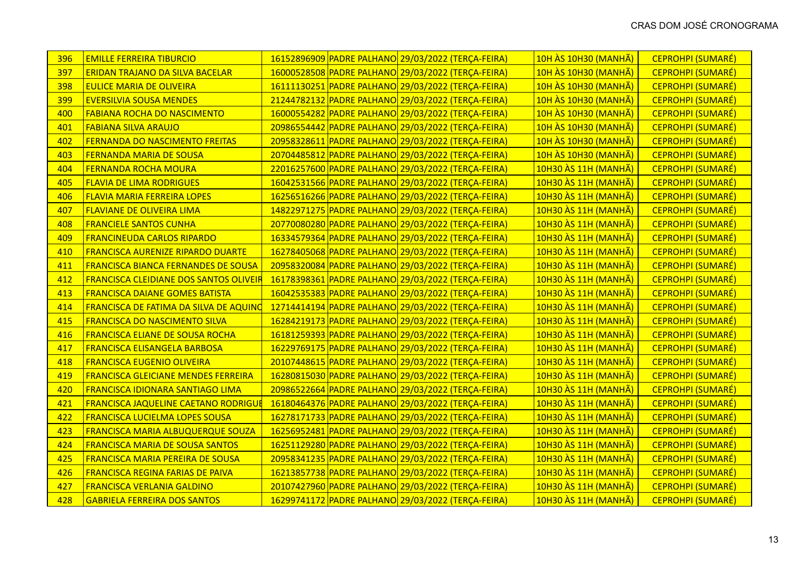| 396 | <b>EMILLE FERREIRA TIBURCIO</b>               |  | 16152896909 PADRE PALHANO 29/03/2022 (TERÇA-FEIRA) | 10H ÀS 10H30 (MANHÃ)        | <b>CEPROHPI (SUMARÉ)</b> |
|-----|-----------------------------------------------|--|----------------------------------------------------|-----------------------------|--------------------------|
| 397 | <b>ERIDAN TRAJANO DA SILVA BACELAR</b>        |  | 16000528508 PADRE PALHANO 29/03/2022 (TERÇA-FEIRA) | 10H ÀS 10H30 (MANHÃ)        | <b>CEPROHPI (SUMARÉ)</b> |
| 398 | <b>EULICE MARIA DE OLIVEIRA</b>               |  | 16111130251 PADRE PALHANO 29/03/2022 (TERÇA-FEIRA) | 10H ÀS 10H30 (MANHÃ)        | CEPROHPI (SUMARÉ)        |
| 399 | <b>EVERSILVIA SOUSA MENDES</b>                |  | 21244782132 PADRE PALHANO 29/03/2022 (TERÇA-FEIRA) | <b>10H ÀS 10H30 (MANHÃ)</b> | <b>CEPROHPI (SUMARÉ)</b> |
| 400 | <b>FABIANA ROCHA DO NASCIMENTO</b>            |  | 16000554282 PADRE PALHANO 29/03/2022 (TERÇA-FEIRA) | 10H ÀS 10H30 (MANHÃ)        | <b>CEPROHPI (SUMARÉ)</b> |
| 401 | <b>FABIANA SILVA ARAUJO</b>                   |  | 20986554442 PADRE PALHANO 29/03/2022 (TERÇA-FEIRA) | 10H ÀS 10H30 (MANHÃ)        | CEPROHPI (SUMARÉ)        |
| 402 | FERNANDA DO NASCIMENTO FREITAS                |  | 20958328611 PADRE PALHANO 29/03/2022 (TERÇA-FEIRA) | 10H ÀS 10H30 (MANHÃ)        | CEPROHPI (SUMARÉ)        |
| 403 | <b>FERNANDA MARIA DE SOUSA</b>                |  | 20704485812 PADRE PALHANO 29/03/2022 (TERÇA-FEIRA) | 10H ÀS 10H30 (MANHÃ)        | <b>CEPROHPI (SUMARÉ)</b> |
| 404 | <b>FERNANDA ROCHA MOURA</b>                   |  | 22016257600 PADRE PALHANO 29/03/2022 (TERÇA-FEIRA) | 10H30 ÀS 11H (MANHÃ)        | CEPROHPI (SUMARÉ)        |
| 405 | <b>FLAVIA DE LIMA RODRIGUES</b>               |  | 16042531566 PADRE PALHANO 29/03/2022 (TERÇA-FEIRA) | 10H30 ÀS 11H (MANHÃ)        | CEPROHPI (SUMARÉ)        |
| 406 | <b>FLAVIA MARIA FERREIRA LOPES</b>            |  | 16256516266 PADRE PALHANO 29/03/2022 (TERÇA-FEIRA) | 10H30 ÀS 11H (MANHÃ)        | <b>CEPROHPI (SUMARÉ)</b> |
| 407 | <b>FLAVIANE DE OLIVEIRA LIMA</b>              |  | 14822971275 PADRE PALHANO 29/03/2022 (TERÇA-FEIRA) | 10H30 ÀS 11H (MANHÃ)        | <b>CEPROHPI (SUMARÉ)</b> |
| 408 | <b>FRANCIELE SANTOS CUNHA</b>                 |  | 20770080280 PADRE PALHANO 29/03/2022 (TERÇA-FEIRA) | 10H30 ÀS 11H (MANHÃ)        | <b>CEPROHPI (SUMARÉ)</b> |
| 409 | <b>FRANCINEUDA CARLOS RIPARDO</b>             |  | 16334579364 PADRE PALHANO 29/03/2022 (TERÇA-FEIRA) | 10H30 ÀS 11H (MANHÃ)        | <b>CEPROHPI (SUMARÉ)</b> |
| 410 | <b>FRANCISCA AURENIZE RIPARDO DUARTE</b>      |  | 16278405068 PADRE PALHANO 29/03/2022 (TERÇA-FEIRA) | 10H30 ÀS 11H (MANHÃ)        | CEPROHPI (SUMARÉ)        |
| 411 | <b>FRANCISCA BIANCA FERNANDES DE SOUSA</b>    |  | 20958320084 PADRE PALHANO 29/03/2022 (TERÇA-FEIRA) | 10H30 ÀS 11H (MANHÃ)        | <b>CEPROHPI (SUMARÉ)</b> |
| 412 | <b>FRANCISCA CLEIDIANE DOS SANTOS OLIVEIR</b> |  | 16178398361 PADRE PALHANO 29/03/2022 (TERÇA-FEIRA) | 10H30 ÀS 11H (MANHÃ)        | <b>CEPROHPI (SUMARÉ)</b> |
| 413 | <b>FRANCISCA DAIANE GOMES BATISTA</b>         |  | 16042535383 PADRE PALHANO 29/03/2022 (TERÇA-FEIRA) | 10H30 ÀS 11H (MANHÃ)        | CEPROHPI (SUMARÉ)        |
| 414 | <b>FRANCISCA DE FATIMA DA SILVA DE AQUINO</b> |  | 12714414194 PADRE PALHANO 29/03/2022 (TERÇA-FEIRA) | 10H30 ÀS 11H (MANHÃ)        | CEPROHPI (SUMARÉ)        |
| 415 | <b>FRANCISCA DO NASCIMENTO SILVA</b>          |  | 16284219173 PADRE PALHANO 29/03/2022 (TERÇA-FEIRA) | 10H30 ÀS 11H (MANHÃ)        | <b>CEPROHPI (SUMARÉ)</b> |
| 416 | <b>FRANCISCA ELIANE DE SOUSA ROCHA</b>        |  | 16181259393 PADRE PALHANO 29/03/2022 (TERÇA-FEIRA) | 10H30 ÀS 11H (MANHÃ)        | CEPROHPI (SUMARÉ)        |
| 417 | <b>FRANCISCA ELISANGELA BARBOSA</b>           |  | 16229769175 PADRE PALHANO 29/03/2022 (TERÇA-FEIRA) | 10H30 ÀS 11H (MANHÃ)        | <b>CEPROHPI (SUMARÉ)</b> |
| 418 | <b>FRANCISCA EUGENIO OLIVEIRA</b>             |  | 20107448615 PADRE PALHANO 29/03/2022 (TERÇA-FEIRA) | 10H30 ÀS 11H (MANHÃ)        | <b>CEPROHPI (SUMARÉ)</b> |
| 419 | <b>FRANCISCA GLEICIANE MENDES FERREIRA</b>    |  | 16280815030 PADRE PALHANO 29/03/2022 (TERÇA-FEIRA) | 10H30 ÀS 11H (MANHÃ)        | <b>CEPROHPI (SUMARÉ)</b> |
| 420 | <b>FRANCISCA IDIONARA SANTIAGO LIMA</b>       |  | 20986522664 PADRE PALHANO 29/03/2022 (TERÇA-FEIRA) | 10H30 ÀS 11H (MANHÃ)        | CEPROHPI (SUMARÉ)        |
| 421 | <b>FRANCISCA JAQUELINE CAETANO RODRIGUE</b>   |  | 16180464376 PADRE PALHANO 29/03/2022 (TERÇA-FEIRA) | 10H30 ÀS 11H (MANHÃ)        | <b>CEPROHPI (SUMARÉ)</b> |
| 422 | <b>FRANCISCA LUCIELMA LOPES SOUSA</b>         |  | 16278171733 PADRE PALHANO 29/03/2022 (TERÇA-FEIRA) | 10H30 ÀS 11H (MANHÃ)        | <b>CEPROHPI (SUMARÉ)</b> |
| 423 | <b>FRANCISCA MARIA ALBUQUERQUE SOUZA</b>      |  | 16256952481 PADRE PALHANO 29/03/2022 (TERÇA-FEIRA) | 10H30 ÀS 11H (MANHÃ)        | <b>CEPROHPI (SUMARÉ)</b> |
| 424 | <b>FRANCISCA MARIA DE SOUSA SANTOS</b>        |  | 16251129280 PADRE PALHANO 29/03/2022 (TERÇA-FEIRA) | 10H30 ÀS 11H (MANHÃ)        | CEPROHPI (SUMARÉ)        |
| 425 | <b>FRANCISCA MARIA PEREIRA DE SOUSA</b>       |  | 20958341235 PADRE PALHANO 29/03/2022 (TERÇA-FEIRA) | 10H30 ÀS 11H (MANHÃ)        | <b>CEPROHPI (SUMARÉ)</b> |
| 426 | <b>FRANCISCA REGINA FARIAS DE PAIVA</b>       |  | 16213857738 PADRE PALHANO 29/03/2022 (TERÇA-FEIRA) | 10H30 ÀS 11H (MANHÃ)        | CEPROHPI (SUMARÉ)        |
| 427 | <b>FRANCISCA VERLANIA GALDINO</b>             |  | 20107427960 PADRE PALHANO 29/03/2022 (TERÇA-FEIRA) | 10H30 ÀS 11H (MANHÃ)        | <b>CEPROHPI (SUMARÉ)</b> |
| 428 | <b>GABRIELA FERREIRA DOS SANTOS</b>           |  | 16299741172 PADRE PALHANO 29/03/2022 (TERÇA-FEIRA) | 10H30 ÀS 11H (MANHÃ)        | CEPROHPI (SUMARÉ)        |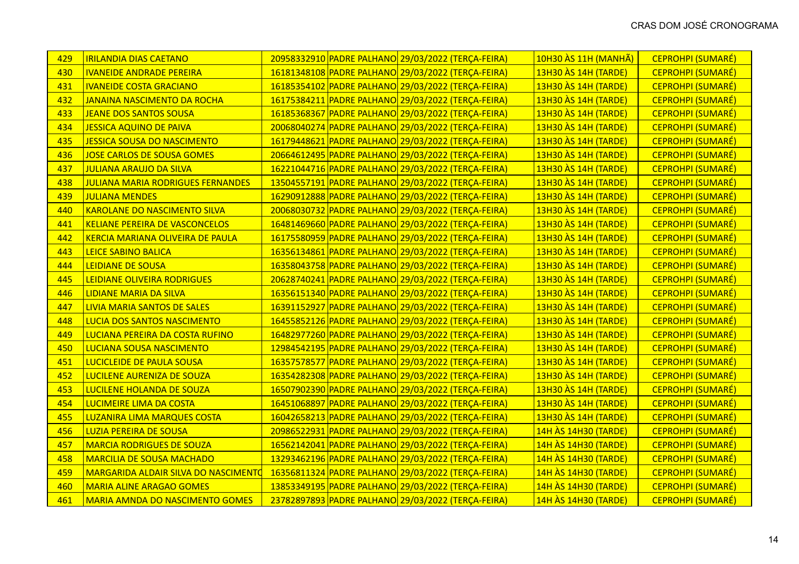| 429 | <b>IRILANDIA DIAS CAETANO</b>            |  | 20958332910 PADRE PALHANO 29/03/2022 (TERÇA-FEIRA) | 10H30 ÀS 11H (MANHÃ) | <b>CEPROHPI (SUMARÉ)</b> |
|-----|------------------------------------------|--|----------------------------------------------------|----------------------|--------------------------|
| 430 | <b>IVANEIDE ANDRADE PEREIRA</b>          |  | 16181348108 PADRE PALHANO 29/03/2022 (TERÇA-FEIRA) | 13H30 AS 14H (TARDE) | CEPROHPI (SUMARÉ)        |
| 431 | <b>IVANEIDE COSTA GRACIANO</b>           |  | 16185354102 PADRE PALHANO 29/03/2022 (TERÇA-FEIRA) | 13H30 AS 14H (TARDE) | CEPROHPI (SUMARÉ)        |
| 432 | <b>JANAINA NASCIMENTO DA ROCHA</b>       |  | 16175384211 PADRE PALHANO 29/03/2022 (TERÇA-FEIRA) | 13H30 AS 14H (TARDE) | CEPROHPI (SUMARÉ)        |
| 433 | <b>JEANE DOS SANTOS SOUSA</b>            |  | 16185368367 PADRE PALHANO 29/03/2022 (TERÇA-FEIRA) | 13H30 AS 14H (TARDE) | <b>CEPROHPI (SUMARÉ)</b> |
| 434 | <b>JESSICA AQUINO DE PAIVA</b>           |  | 20068040274 PADRE PALHANO 29/03/2022 (TERÇA-FEIRA) | 13H30 AS 14H (TARDE) | CEPROHPI (SUMARÉ)        |
| 435 | <b>JESSICA SOUSA DO NASCIMENTO</b>       |  | 16179448621 PADRE PALHANO 29/03/2022 (TERÇA-FEIRA) | 13H30 AS 14H (TARDE) | CEPROHPI (SUMARÉ)        |
| 436 | <b>JOSE CARLOS DE SOUSA GOMES</b>        |  | 20664612495 PADRE PALHANO 29/03/2022 (TERÇA-FEIRA) | 13H30 AS 14H (TARDE) | <b>CEPROHPI (SUMARÉ)</b> |
| 437 | <b>JULIANA ARAUJO DA SILVA</b>           |  | 16221044716 PADRE PALHANO 29/03/2022 (TERÇA-FEIRA) | 13H30 AS 14H (TARDE) | <b>CEPROHPI (SUMARÉ)</b> |
| 438 | <b>JULIANA MARIA RODRIGUES FERNANDES</b> |  | 13504557191 PADRE PALHANO 29/03/2022 (TERÇA-FEIRA) | 13H30 AS 14H (TARDE) | CEPROHPI (SUMARÉ)        |
| 439 | <b>JULIANA MENDES</b>                    |  | 16290912888 PADRE PALHANO 29/03/2022 (TERÇA-FEIRA) | 13H30 AS 14H (TARDE) | CEPROHPI (SUMARÉ)        |
| 440 | <b>KAROLANE DO NASCIMENTO SILVA</b>      |  | 20068030732 PADRE PALHANO 29/03/2022 (TERÇA-FEIRA) | 13H30 AS 14H (TARDE) | <b>CEPROHPI (SUMARÉ)</b> |
| 441 | <b>KELIANE PEREIRA DE VASCONCELOS</b>    |  | 16481469660 PADRE PALHANO 29/03/2022 (TERÇA-FEIRA) | 13H30 AS 14H (TARDE) | <b>CEPROHPI (SUMARÉ)</b> |
| 442 | <b>KERCIA MARIANA OLIVEIRA DE PAULA</b>  |  | 16175580959 PADRE PALHANO 29/03/2022 (TERÇA-FEIRA) | 13H30 AS 14H (TARDE) | <b>CEPROHPI (SUMARÉ)</b> |
| 443 | <b>LEICE SABINO BALICA</b>               |  | 16356134861 PADRE PALHANO 29/03/2022 (TERÇA-FEIRA) | 13H30 AS 14H (TARDE) | <b>CEPROHPI (SUMARÉ)</b> |
| 444 | <b>LEIDIANE DE SOUSA</b>                 |  | 16358043758 PADRE PALHANO 29/03/2022 (TERÇA-FEIRA) | 13H30 ÀS 14H (TARDE) | <b>CEPROHPI (SUMARÉ)</b> |
| 445 | LEIDIANE OLIVEIRA RODRIGUES              |  | 20628740241 PADRE PALHANO 29/03/2022 (TERÇA-FEIRA) | 13H30 AS 14H (TARDE) | <b>CEPROHPI (SUMARÉ)</b> |
| 446 | <b>LIDIANE MARIA DA SILVA</b>            |  | 16356151340 PADRE PALHANO 29/03/2022 (TERÇA-FEIRA) | 13H30 AS 14H (TARDE) | <b>CEPROHPI (SUMARÉ)</b> |
| 447 | <b>LIVIA MARIA SANTOS DE SALES</b>       |  | 16391152927 PADRE PALHANO 29/03/2022 (TERÇA-FEIRA) | 13H30 AS 14H (TARDE) | <b>CEPROHPI (SUMARÉ)</b> |
| 448 | <b>LUCIA DOS SANTOS NASCIMENTO</b>       |  | 16455852126 PADRE PALHANO 29/03/2022 (TERÇA-FEIRA) | 13H30 AS 14H (TARDE) | <b>CEPROHPI (SUMARÉ)</b> |
| 449 | LUCIANA PEREIRA DA COSTA RUFINO          |  | 16482977260 PADRE PALHANO 29/03/2022 (TERÇA-FEIRA) | 13H30 AS 14H (TARDE) | <b>CEPROHPI (SUMARÉ)</b> |
| 450 | <b>LUCIANA SOUSA NASCIMENTO</b>          |  | 12984542195 PADRE PALHANO 29/03/2022 (TERÇA-FEIRA) | 13H30 AS 14H (TARDE) | CEPROHPI (SUMARÉ)        |
| 451 | LUCICLEIDE DE PAULA SOUSA                |  | 16357578577 PADRE PALHANO 29/03/2022 (TERÇA-FEIRA) | 13H30 AS 14H (TARDE) | <b>CEPROHPI (SUMARÉ)</b> |
| 452 | LUCILENE AURENIZA DE SOUZA               |  | 16354282308 PADRE PALHANO 29/03/2022 (TERÇA-FEIRA) | 13H30 AS 14H (TARDE) | <b>CEPROHPI (SUMARÉ)</b> |
| 453 | LUCILENE HOLANDA DE SOUZA                |  | 16507902390 PADRE PALHANO 29/03/2022 (TERÇA-FEIRA) | 13H30 AS 14H (TARDE) | CEPROHPI (SUMARÉ)        |
| 454 | LUCIMEIRE LIMA DA COSTA                  |  | 16451068897 PADRE PALHANO 29/03/2022 (TERÇA-FEIRA) | 13H30 AS 14H (TARDE) | CEPROHPI (SUMARÉ)        |
| 455 | LUZANIRA LIMA MARQUES COSTA              |  | 16042658213 PADRE PALHANO 29/03/2022 (TERÇA-FEIRA) | 13H30 AS 14H (TARDE) | <b>CEPROHPI (SUMARÉ)</b> |
| 456 | <b>LUZIA PEREIRA DE SOUSA</b>            |  | 20986522931 PADRE PALHANO 29/03/2022 (TERÇA-FEIRA) | 14H ÀS 14H30 (TARDE) | <b>CEPROHPI (SUMARÉ)</b> |
| 457 | <b>MARCIA RODRIGUES DE SOUZA</b>         |  | 16562142041 PADRE PALHANO 29/03/2022 (TERÇA-FEIRA) | 14H ÀS 14H30 (TARDE) | <b>CEPROHPI (SUMARÉ)</b> |
| 458 | <b>MARCILIA DE SOUSA MACHADO</b>         |  | 13293462196 PADRE PALHANO 29/03/2022 (TERÇA-FEIRA) | 14H ÀS 14H30 (TARDE) | CEPROHPI (SUMARÉ)        |
| 459 | MARGARIDA ALDAIR SILVA DO NASCIMENTO     |  | 16356811324 PADRE PALHANO 29/03/2022 (TERÇA-FEIRA) | 14H ÀS 14H30 (TARDE) | <b>CEPROHPI (SUMARÉ)</b> |
| 460 | <b>MARIA ALINE ARAGAO GOMES</b>          |  | 13853349195 PADRE PALHANO 29/03/2022 (TERÇA-FEIRA) | 14H ÀS 14H30 (TARDE) | <b>CEPROHPI (SUMARÉ)</b> |
| 461 | <b>MARIA AMNDA DO NASCIMENTO GOMES</b>   |  | 23782897893 PADRE PALHANO 29/03/2022 (TERÇA-FEIRA) | 14H ÀS 14H30 (TARDE) | <b>CEPROHPI (SUMARÉ)</b> |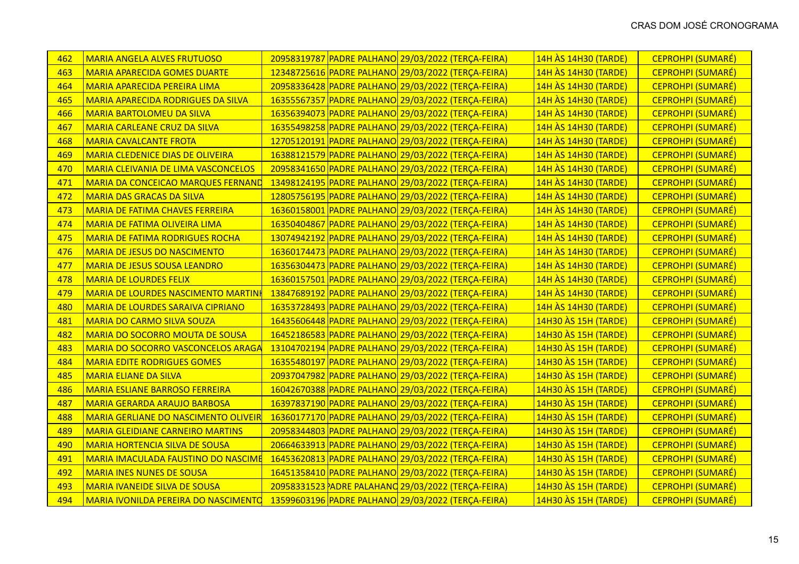| 462 | <b>MARIA ANGELA ALVES FRUTUOSO</b>          |  | 20958319787 PADRE PALHANO 29/03/2022 (TERÇA-FEIRA) | 14H ÀS 14H30 (TARDE) | <b>CEPROHPI (SUMARÉ)</b> |
|-----|---------------------------------------------|--|----------------------------------------------------|----------------------|--------------------------|
| 463 | <b>MARIA APARECIDA GOMES DUARTE</b>         |  | 12348725616 PADRE PALHANO 29/03/2022 (TERÇA-FEIRA) | 14H ÀS 14H30 (TARDE) | <b>CEPROHPI (SUMARÉ)</b> |
| 464 | MARIA APARECIDA PEREIRA LIMA                |  | 20958336428 PADRE PALHANO 29/03/2022 (TERÇA-FEIRA) | 14H ÀS 14H30 (TARDE) | CEPROHPI (SUMARÉ)        |
| 465 | <b>MARIA APARECIDA RODRIGUES DA SILVA</b>   |  | 16355567357 PADRE PALHANO 29/03/2022 (TERÇA-FEIRA) | 14H ÀS 14H30 (TARDE) | <b>CEPROHPI (SUMARÉ)</b> |
| 466 | <b>MARIA BARTOLOMEU DA SILVA</b>            |  | 16356394073 PADRE PALHANO 29/03/2022 (TERÇA-FEIRA) | 14H ÀS 14H30 (TARDE) | CEPROHPI (SUMARÉ)        |
| 467 | <b>MARIA CARLEANE CRUZ DA SILVA</b>         |  | 16355498258 PADRE PALHANO 29/03/2022 (TERÇA-FEIRA) | 14H ÀS 14H30 (TARDE) | CEPROHPI (SUMARÉ)        |
| 468 | <b>MARIA CAVALCANTE FROTA</b>               |  | 12705120191 PADRE PALHANO 29/03/2022 (TERÇA-FEIRA) | 14H ÀS 14H30 (TARDE) | <b>CEPROHPI (SUMARÉ)</b> |
| 469 | <b>MARIA CLEDENICE DIAS DE OLIVEIRA</b>     |  | 16388121579 PADRE PALHANO 29/03/2022 (TERÇA-FEIRA) | 14H ÀS 14H30 (TARDE) | CEPROHPI (SUMARÉ)        |
| 470 | <b>MARIA CLEIVANIA DE LIMA VASCONCELOS</b>  |  | 20958341650 PADRE PALHANO 29/03/2022 (TERÇA-FEIRA) | 14H AS 14H30 (TARDE) | <b>CEPROHPI (SUMARÉ)</b> |
| 471 | <b>MARIA DA CONCEICAO MARQUES FERNAND</b>   |  | 13498124195 PADRE PALHANO 29/03/2022 (TERÇA-FEIRA) | 14H ÀS 14H30 (TARDE) | <b>CEPROHPI (SUMARÉ)</b> |
| 472 | <b>MARIA DAS GRACAS DA SILVA</b>            |  | 12805756195 PADRE PALHANO 29/03/2022 (TERÇA-FEIRA) | 14H ÀS 14H30 (TARDE) | CEPROHPI (SUMARÉ)        |
| 473 | <b>MARIA DE FATIMA CHAVES FERREIRA</b>      |  | 16360158001 PADRE PALHANO 29/03/2022 (TERÇA-FEIRA) | 14H ÀS 14H30 (TARDE) | <b>CEPROHPI (SUMARÉ)</b> |
| 474 | <b>MARIA DE FATIMA OLIVEIRA LIMA</b>        |  | 16350404867 PADRE PALHANO 29/03/2022 (TERÇA-FEIRA) | 14H ÀS 14H30 (TARDE) | <b>CEPROHPI (SUMARÉ)</b> |
| 475 | <b>MARIA DE FATIMA RODRIGUES ROCHA</b>      |  | 13074942192 PADRE PALHANO 29/03/2022 (TERÇA-FEIRA) | 14H ÀS 14H30 (TARDE) | <b>CEPROHPI (SUMARÉ)</b> |
| 476 | <b>MARIA DE JESUS DO NASCIMENTO</b>         |  | 16360174473 PADRE PALHANO 29/03/2022 (TERÇA-FEIRA) | 14H ÀS 14H30 (TARDE) | <b>CEPROHPI (SUMARÉ)</b> |
| 477 | <b>MARIA DE JESUS SOUSA LEANDRO</b>         |  | 16356304473 PADRE PALHANO 29/03/2022 (TERÇA-FEIRA) | 14H ÀS 14H30 (TARDE) | <b>CEPROHPI (SUMARÉ)</b> |
| 478 | <b>MARIA DE LOURDES FELIX</b>               |  | 16360157501 PADRE PALHANO 29/03/2022 (TERÇA-FEIRA) | 14H ÀS 14H30 (TARDE) | CEPROHPI (SUMARÉ)        |
| 479 | <b>MARIA DE LOURDES NASCIMENTO MARTIN</b>   |  | 13847689192 PADRE PALHANO 29/03/2022 (TERÇA-FEIRA) | 14H ÀS 14H30 (TARDE) | <b>CEPROHPI (SUMARÉ)</b> |
| 480 | <b>MARIA DE LOURDES SARAIVA CIPRIANO</b>    |  | 16353728493 PADRE PALHANO 29/03/2022 (TERÇA-FEIRA) | 14H ÀS 14H30 (TARDE) | <b>CEPROHPI (SUMARÉ)</b> |
| 481 | <b>MARIA DO CARMO SILVA SOUZA</b>           |  | 16435606448 PADRE PALHANO 29/03/2022 (TERÇA-FEIRA) | 14H30 AS 15H (TARDE) | <b>CEPROHPI (SUMARÉ)</b> |
| 482 | <b>MARIA DO SOCORRO MOUTA DE SOUSA</b>      |  | 16452186583 PADRE PALHANO 29/03/2022 (TERÇA-FEIRA) | 14H30 AS 15H (TARDE) | <b>CEPROHPI (SUMARÉ)</b> |
| 483 | MARIA DO SOCORRO VASCONCELOS ARAGA          |  | 13104702194 PADRE PALHANO 29/03/2022 (TERÇA-FEIRA) | 14H30 AS 15H (TARDE) | CEPROHPI (SUMARÉ)        |
| 484 | <b>MARIA EDITE RODRIGUES GOMES</b>          |  | 16355480197 PADRE PALHANO 29/03/2022 (TERÇA-FEIRA) | 14H30 AS 15H (TARDE) | <b>CEPROHPI (SUMARÉ)</b> |
| 485 | <b>MARIA ELIANE DA SILVA</b>                |  | 20937047982 PADRE PALHANO 29/03/2022 (TERÇA-FEIRA) | 14H30 AS 15H (TARDE) | <b>CEPROHPI (SUMARÉ)</b> |
| 486 | <b>MARIA ESLIANE BARROSO FERREIRA</b>       |  | 16042670388 PADRE PALHANO 29/03/2022 (TERÇA-FEIRA) | 14H30 AS 15H (TARDE) | <b>CEPROHPI (SUMARÉ)</b> |
| 487 | <b>MARIA GERARDA ARAUJO BARBOSA</b>         |  | 16397837190 PADRE PALHANO 29/03/2022 (TERÇA-FEIRA) | 14H30 AS 15H (TARDE) | <b>CEPROHPI (SUMARÉ)</b> |
| 488 | <b>MARIA GERLIANE DO NASCIMENTO OLIVEIR</b> |  | 16360177170 PADRE PALHANO 29/03/2022 (TERÇA-FEIRA) | 14H30 AS 15H (TARDE) | <b>CEPROHPI (SUMARÉ)</b> |
| 489 | <b>MARIA GLEIDIANE CARNEIRO MARTINS</b>     |  | 20958344803 PADRE PALHANO 29/03/2022 (TERÇA-FEIRA) | 14H30 AS 15H (TARDE) | <b>CEPROHPI (SUMARÉ)</b> |
| 490 | <b>MARIA HORTENCIA SILVA DE SOUSA</b>       |  | 20664633913 PADRE PALHANO 29/03/2022 (TERÇA-FEIRA) | 14H30 AS 15H (TARDE) | CEPROHPI (SUMARÉ)        |
| 491 | <b>MARIA IMACULADA FAUSTINO DO NASCIME</b>  |  | 16453620813 PADRE PALHANO 29/03/2022 (TERÇA-FEIRA) | 14H30 AS 15H (TARDE) | <b>CEPROHPI (SUMARÉ)</b> |
| 492 | <b>MARIA INES NUNES DE SOUSA</b>            |  | 16451358410 PADRE PALHANO 29/03/2022 (TERÇA-FEIRA) | 14H30 ÀS 15H (TARDE) | <b>CEPROHPI (SUMARÉ)</b> |
| 493 | <b>MARIA IVANEIDE SILVA DE SOUSA</b>        |  | 20958331523 ADRE PALAHANO 29/03/2022 (TERÇA-FEIRA) | 14H30 AS 15H (TARDE) | <b>CEPROHPI (SUMARÉ)</b> |
| 494 | <b>MARIA IVONILDA PEREIRA DO NASCIMENTO</b> |  | 13599603196 PADRE PALHANO 29/03/2022 (TERÇA-FEIRA) | 14H30 AS 15H (TARDE) | <b>CEPROHPI (SUMARÉ)</b> |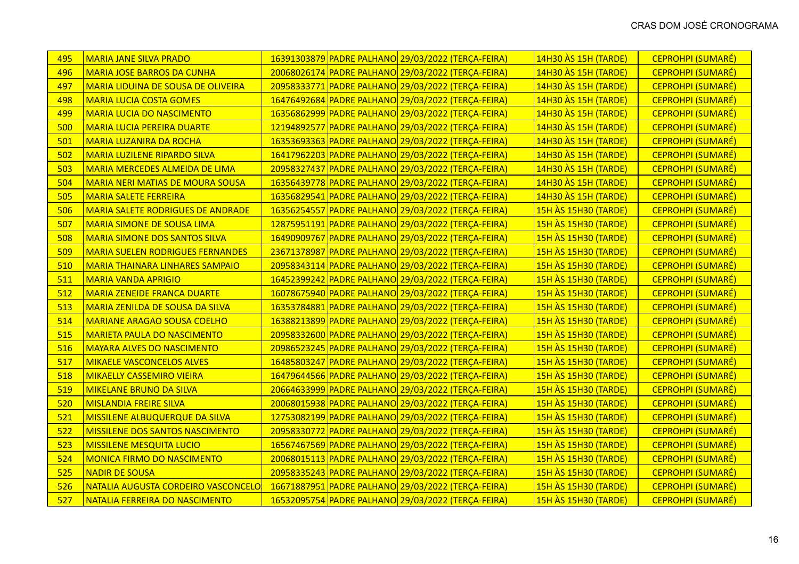| 495 | <b>MARIA JANE SILVA PRADO</b>             | 16391303879 PADRE PALHANO 29/03/2022 (TERÇA-FEIRA) | 14H30 ÀS 15H (TARDE)<br><b>CEPROHPI (SUMARÉ)</b>        |
|-----|-------------------------------------------|----------------------------------------------------|---------------------------------------------------------|
| 496 | <b>MARIA JOSE BARROS DA CUNHA</b>         | 20068026174 PADRE PALHANO 29/03/2022 (TERÇA-FEIRA) | 14H30 AS 15H (TARDE)<br><b>CEPROHPI (SUMARÉ)</b>        |
| 497 | <b>MARIA LIDUINA DE SOUSA DE OLIVEIRA</b> | 20958333771 PADRE PALHANO 29/03/2022 (TERÇA-FEIRA) | 14H30 AS 15H (TARDE)<br><b>CEPROHPI (SUMARÉ)</b>        |
| 498 | <b>MARIA LUCIA COSTA GOMES</b>            | 16476492684 PADRE PALHANO 29/03/2022 (TERÇA-FEIRA) | 14H30 AS 15H (TARDE)<br><b>CEPROHPI (SUMARÉ)</b>        |
| 499 | <b>MARIA LUCIA DO NASCIMENTO</b>          | 16356862999 PADRE PALHANO 29/03/2022 (TERÇA-FEIRA) | 14H30 AS 15H (TARDE)<br><b>CEPROHPI (SUMARÉ)</b>        |
| 500 | <b>MARIA LUCIA PEREIRA DUARTE</b>         | 12194892577 PADRE PALHANO 29/03/2022 (TERÇA-FEIRA) | 14H30 AS 15H (TARDE)<br>CEPROHPI (SUMARÉ)               |
| 501 | <b>MARIA LUZANIRA DA ROCHA</b>            | 16353693363 PADRE PALHANO 29/03/2022 (TERÇA-FEIRA) | 14H30 AS 15H (TARDE)<br><b>CEPROHPI (SUMARÉ)</b>        |
| 502 | <b>MARIA LUZILENE RIPARDO SILVA</b>       | 16417962203 PADRE PALHANO 29/03/2022 (TERÇA-FEIRA) | 14H30 AS 15H (TARDE)<br><b>CEPROHPI (SUMARÉ)</b>        |
| 503 | MARIA MERCEDES ALMEIDA DE LIMA            | 20958327437 PADRE PALHANO 29/03/2022 (TERÇA-FEIRA) | 14H30 ÀS 15H (TARDE)<br>CEPROHPI (SUMARÉ)               |
| 504 | <b>MARIA NERI MATIAS DE MOURA SOUSA</b>   | 16356439778 PADRE PALHANO 29/03/2022 (TERÇA-FEIRA) | 14H30 AS 15H (TARDE)<br>CEPROHPI (SUMARÉ)               |
| 505 | <b>MARIA SALETE FERREIRA</b>              | 16356829541 PADRE PALHANO 29/03/2022 (TERÇA-FEIRA) | 14H30 AS 15H (TARDE)<br>CEPROHPI (SUMARÉ)               |
| 506 | <b>MARIA SALETE RODRIGUES DE ANDRADE</b>  | 16356254557 PADRE PALHANO 29/03/2022 (TERÇA-FEIRA) | <b>15H ÀS 15H30 (TARDE)</b><br><b>CEPROHPI (SUMARÉ)</b> |
| 507 | <b>MARIA SIMONE DE SOUSA LIMA</b>         | 12875951191 PADRE PALHANO 29/03/2022 (TERÇA-FEIRA) | <b>15H ÀS 15H30 (TARDE)</b><br><b>CEPROHPI (SUMARÉ)</b> |
| 508 | <b>MARIA SIMONE DOS SANTOS SILVA</b>      | 16490909767 PADRE PALHANO 29/03/2022 (TERÇA-FEIRA) | <b>15H ÀS 15H30 (TARDE)</b><br><b>CEPROHPI (SUMARÉ)</b> |
| 509 | <b>MARIA SUELEN RODRIGUES FERNANDES</b>   | 23671378987 PADRE PALHANO 29/03/2022 (TERÇA-FEIRA) | <b>15H ÀS 15H30 (TARDE)</b><br><b>CEPROHPI (SUMARÉ)</b> |
| 510 | <b>MARIA THAINARA LINHARES SAMPAIO</b>    | 20958343114 PADRE PALHANO 29/03/2022 (TERÇA-FEIRA) | <b>15H ÀS 15H30 (TARDE)</b><br><b>CEPROHPI (SUMARÉ)</b> |
| 511 | <b>MARIA VANDA APRIGIO</b>                | 16452399242 PADRE PALHANO 29/03/2022 (TERÇA-FEIRA) | <b>15H ÀS 15H30 (TARDE)</b><br><b>CEPROHPI (SUMARÉ)</b> |
| 512 | <b>MARIA ZENEIDE FRANCA DUARTE</b>        | 16078675940 PADRE PALHANO 29/03/2022 (TERÇA-FEIRA) | <b>15H ÀS 15H30 (TARDE)</b><br><b>CEPROHPI (SUMARÉ)</b> |
| 513 | MARIA ZENILDA DE SOUSA DA SILVA           | 16353784881 PADRE PALHANO 29/03/2022 (TERÇA-FEIRA) | 15H AS 15H30 (TARDE)<br><b>CEPROHPI (SUMARÉ)</b>        |
| 514 | <b>MARIANE ARAGAO SOUSA COELHO</b>        | 16388213899 PADRE PALHANO 29/03/2022 (TERÇA-FEIRA) | <b>15H ÀS 15H30 (TARDE)</b><br><b>CEPROHPI (SUMARÉ)</b> |
| 515 | <b>MARIETA PAULA DO NASCIMENTO</b>        | 20958332600 PADRE PALHANO 29/03/2022 (TERÇA-FEIRA) | 15H AS 15H30 (TARDE)<br><b>CEPROHPI (SUMARÉ)</b>        |
| 516 | <b>MAYARA ALVES DO NASCIMENTO</b>         | 20986523245 PADRE PALHANO 29/03/2022 (TERÇA-FEIRA) | <b>15H ÀS 15H30 (TARDE)</b><br>CEPROHPI (SUMARÉ)        |
| 517 | <b>MIKAELE VASCONCELOS ALVES</b>          | 16485803247 PADRE PALHANO 29/03/2022 (TERÇA-FEIRA) | 15H AS 15H30 (TARDE)<br><b>CEPROHPI (SUMARÉ)</b>        |
| 518 | <b>MIKAELLY CASSEMIRO VIEIRA</b>          | 16479644566 PADRE PALHANO 29/03/2022 (TERÇA-FEIRA) | 15H ÀS 15H30 (TARDE)<br><b>CEPROHPI (SUMARÉ)</b>        |
| 519 | <b>MIKELANE BRUNO DA SILVA</b>            | 20664633999 PADRE PALHANO 29/03/2022 (TERÇA-FEIRA) | <b>15H ÀS 15H30 (TARDE)</b><br>CEPROHPI (SUMARÉ)        |
| 520 | <b>MISLANDIA FREIRE SILVA</b>             | 20068015938 PADRE PALHANO 29/03/2022 (TERÇA-FEIRA) | <b>15H ÀS 15H30 (TARDE)</b><br><b>CEPROHPI (SUMARÉ)</b> |
| 521 | MISSILENE ALBUQUERQUE DA SILVA            | 12753082199 PADRE PALHANO 29/03/2022 (TERÇA-FEIRA) | <b>15H ÀS 15H30 (TARDE)</b><br><b>CEPROHPI (SUMARÉ)</b> |
| 522 | <b>MISSILENE DOS SANTOS NASCIMENTO</b>    | 20958330772 PADRE PALHANO 29/03/2022 (TERÇA-FEIRA) | <b>15H ÀS 15H30 (TARDE)</b><br><b>CEPROHPI (SUMARÉ)</b> |
| 523 | <b>MISSILENE MESQUITA LUCIO</b>           | 16567467569 PADRE PALHANO 29/03/2022 (TERÇA-FEIRA) | <b>15H ÀS 15H30 (TARDE)</b><br><b>CEPROHPI (SUMARÉ)</b> |
| 524 | <b>MONICA FIRMO DO NASCIMENTO</b>         | 20068015113 PADRE PALHANO 29/03/2022 (TERÇA-FEIRA) | <b>15H ÀS 15H30 (TARDE)</b><br><b>CEPROHPI (SUMARÉ)</b> |
| 525 | <b>NADIR DE SOUSA</b>                     | 20958335243 PADRE PALHANO 29/03/2022 (TERÇA-FEIRA) | 15H AS 15H30 (TARDE)<br><b>CEPROHPI (SUMARÉ)</b>        |
| 526 | NATALIA AUGUSTA CORDEIRO VASCONCELO       | 16671887951 PADRE PALHANO 29/03/2022 (TERÇA-FEIRA) | <b>15H ÀS 15H30 (TARDE)</b><br><b>CEPROHPI (SUMARÉ)</b> |
| 527 | NATALIA FERREIRA DO NASCIMENTO            | 16532095754 PADRE PALHANO 29/03/2022 (TERÇA-FEIRA) | <b>15H ÀS 15H30 (TARDE)</b><br><b>CEPROHPI (SUMARÉ)</b> |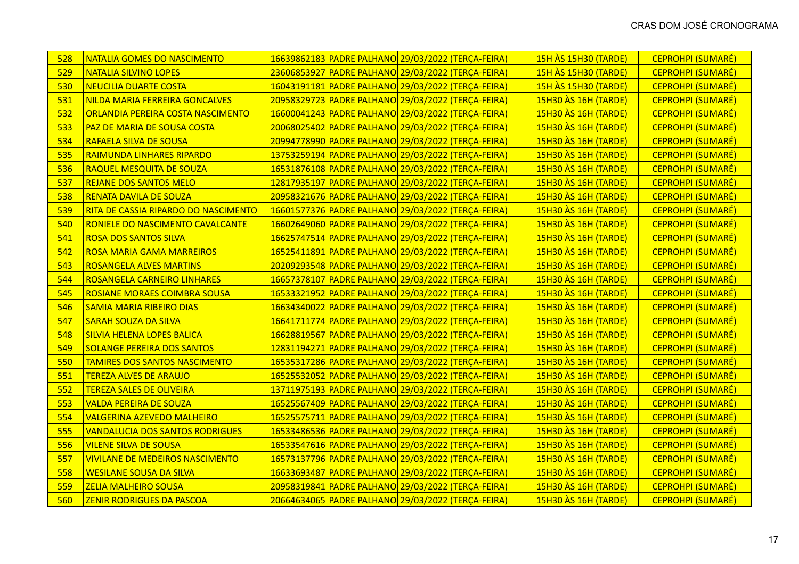| 528 | <b>NATALIA GOMES DO NASCIMENTO</b>      | 16639862183 PADRE PALHANO 29/03/2022 (TERÇA-FEIRA) | <b>15H ÀS 15H30 (TARDE)</b> | <b>CEPROHPI (SUMARÉ)</b> |
|-----|-----------------------------------------|----------------------------------------------------|-----------------------------|--------------------------|
| 529 | <b>NATALIA SILVINO LOPES</b>            | 23606853927 PADRE PALHANO 29/03/2022 (TERÇA-FEIRA) | <b>15H AS 15H30 (TARDE)</b> | <b>CEPROHPI (SUMARÉ)</b> |
| 530 | <b>NEUCILIA DUARTE COSTA</b>            | 16043191181 PADRE PALHANO 29/03/2022 (TERÇA-FEIRA) | <b>15H ÀS 15H30 (TARDE)</b> | CEPROHPI (SUMARÉ)        |
| 531 | NILDA MARIA FERREIRA GONCALVES          | 20958329723 PADRE PALHANO 29/03/2022 (TERÇA-FEIRA) | <b>15H30 AS 16H (TARDE)</b> | <b>CEPROHPI (SUMARÉ)</b> |
| 532 | ORLANDIA PEREIRA COSTA NASCIMENTO       | 16600041243 PADRE PALHANO 29/03/2022 (TERÇA-FEIRA) | 15H30 AS 16H (TARDE)        | CEPROHPI (SUMARÉ)        |
| 533 | PAZ DE MARIA DE SOUSA COSTA             | 20068025402 PADRE PALHANO 29/03/2022 (TERÇA-FEIRA) | <b>15H30 AS 16H (TARDE)</b> | <b>CEPROHPI (SUMARÉ)</b> |
| 534 | <b>RAFAELA SILVA DE SOUSA</b>           | 20994778990 PADRE PALHANO 29/03/2022 (TERÇA-FEIRA) | 15H30 AS 16H (TARDE)        | CEPROHPI (SUMARÉ)        |
| 535 | <b>RAIMUNDA LINHARES RIPARDO</b>        | 13753259194 PADRE PALHANO 29/03/2022 (TERÇA-FEIRA) | 15H30 AS 16H (TARDE)        | <b>CEPROHPI (SUMARÉ)</b> |
| 536 | <b>RAQUEL MESQUITA DE SOUZA</b>         | 16531876108 PADRE PALHANO 29/03/2022 (TERÇA-FEIRA) | <b>15H30 AS 16H (TARDE)</b> | <b>CEPROHPI (SUMARÉ)</b> |
| 537 | <b>REJANE DOS SANTOS MELO</b>           | 12817935197 PADRE PALHANO 29/03/2022 (TERÇA-FEIRA) | 15H30 AS 16H (TARDE)        | CEPROHPI (SUMARÉ)        |
| 538 | <b>RENATA DAVILA DE SOUZA</b>           | 20958321676 PADRE PALHANO 29/03/2022 (TERÇA-FEIRA) | <b>15H30 AS 16H (TARDE)</b> | <b>CEPROHPI (SUMARÉ)</b> |
| 539 | RITA DE CASSIA RIPARDO DO NASCIMENTO    | 16601577376 PADRE PALHANO 29/03/2022 (TERÇA-FEIRA) | <b>15H30 AS 16H (TARDE)</b> | <b>CEPROHPI (SUMARÉ)</b> |
| 540 | <b>RONIELE DO NASCIMENTO CAVALCANTE</b> | 16602649060 PADRE PALHANO 29/03/2022 (TERÇA-FEIRA) | <b>15H30 AS 16H (TARDE)</b> | <b>CEPROHPI (SUMARÉ)</b> |
| 541 | <b>ROSA DOS SANTOS SILVA</b>            | 16625747514 PADRE PALHANO 29/03/2022 (TERÇA-FEIRA) | 15H30 AS 16H (TARDE)        | <b>CEPROHPI (SUMARÉ)</b> |
| 542 | <b>ROSA MARIA GAMA MARREIROS</b>        | 16525411891 PADRE PALHANO 29/03/2022 (TERÇA-FEIRA) | <b>15H30 AS 16H (TARDE)</b> | <b>CEPROHPI (SUMARÉ)</b> |
| 543 | <b>ROSANGELA ALVES MARTINS</b>          | 20209293548 PADRE PALHANO 29/03/2022 (TERÇA-FEIRA) | 15H30 AS 16H (TARDE)        | <b>CEPROHPI (SUMARÉ)</b> |
| 544 | <b>ROSANGELA CARNEIRO LINHARES</b>      | 16657378107 PADRE PALHANO 29/03/2022 (TERÇA-FEIRA) | <b>15H30 AS 16H (TARDE)</b> | <b>CEPROHPI (SUMARÉ)</b> |
| 545 | <b>ROSIANE MORAES COIMBRA SOUSA</b>     | 16533321952 PADRE PALHANO 29/03/2022 (TERÇA-FEIRA) | 15H30 AS 16H (TARDE)        | CEPROHPI (SUMARÉ)        |
| 546 | <b>SAMIA MARIA RIBEIRO DIAS</b>         | 16634340022 PADRE PALHANO 29/03/2022 (TERÇA-FEIRA) | <b>15H30 AS 16H (TARDE)</b> | <b>CEPROHPI (SUMARÉ)</b> |
| 547 | <b>SARAH SOUZA DA SILVA</b>             | 16641711774 PADRE PALHANO 29/03/2022 (TERÇA-FEIRA) | 15H30 AS 16H (TARDE)        | CEPROHPI (SUMARÉ)        |
| 548 | <b>SILVIA HELENA LOPES BALICA</b>       | 16628819567 PADRE PALHANO 29/03/2022 (TERÇA-FEIRA) | 15H30 AS 16H (TARDE)        | CEPROHPI (SUMARÉ)        |
| 549 | <b>SOLANGE PEREIRA DOS SANTOS</b>       | 12831194271 PADRE PALHANO 29/03/2022 (TERÇA-FEIRA) | 15H30 AS 16H (TARDE)        | <b>CEPROHPI (SUMARÉ)</b> |
| 550 | <b>TAMIRES DOS SANTOS NASCIMENTO</b>    | 16535317286 PADRE PALHANO 29/03/2022 (TERÇA-FEIRA) | 15H30 AS 16H (TARDE)        | <b>CEPROHPI (SUMARÉ)</b> |
| 551 | <b>TEREZA ALVES DE ARAUJO</b>           | 16525532052 PADRE PALHANO 29/03/2022 (TERÇA-FEIRA) | <b>15H30 AS 16H (TARDE)</b> | <b>CEPROHPI (SUMARÉ)</b> |
| 552 | <b>TEREZA SALES DE OLIVEIRA</b>         | 13711975193 PADRE PALHANO 29/03/2022 (TERÇA-FEIRA) | 15H30 AS 16H (TARDE)        | CEPROHPI (SUMARÉ)        |
| 553 | <b>VALDA PEREIRA DE SOUZA</b>           | 16525567409 PADRE PALHANO 29/03/2022 (TERÇA-FEIRA) | 15H30 AS 16H (TARDE)        | <b>CEPROHPI (SUMARÉ)</b> |
| 554 | <b>VALGERINA AZEVEDO MALHEIRO</b>       | 16525575711 PADRE PALHANO 29/03/2022 (TERÇA-FEIRA) | 15H30 AS 16H (TARDE)        | <b>CEPROHPI (SUMARÉ)</b> |
| 555 | <b>VANDALUCIA DOS SANTOS RODRIGUES</b>  | 16533486536 PADRE PALHANO 29/03/2022 (TERÇA-FEIRA) | <b>15H30 AS 16H (TARDE)</b> | <b>CEPROHPI (SUMARÉ)</b> |
| 556 | <b>VILENE SILVA DE SOUSA</b>            | 16533547616 PADRE PALHANO 29/03/2022 (TERÇA-FEIRA) | 15H30 AS 16H (TARDE)        | <b>CEPROHPI (SUMARÉ)</b> |
| 557 | <b>VIVILANE DE MEDEIROS NASCIMENTO</b>  | 16573137796 PADRE PALHANO 29/03/2022 (TERÇA-FEIRA) | <b>15H30 AS 16H (TARDE)</b> | <b>CEPROHPI (SUMARÉ)</b> |
| 558 | <b>WESILANE SOUSA DA SILVA</b>          | 16633693487 PADRE PALHANO 29/03/2022 (TERÇA-FEIRA) | 15H30 AS 16H (TARDE)        | <b>CEPROHPI (SUMARÉ)</b> |
| 559 | <b>ZELIA MALHEIRO SOUSA</b>             | 20958319841 PADRE PALHANO 29/03/2022 (TERÇA-FEIRA) | 15H30 AS 16H (TARDE)        | <b>CEPROHPI (SUMARÉ)</b> |
| 560 | <b>ZENIR RODRIGUES DA PASCOA</b>        | 20664634065 PADRE PALHANO 29/03/2022 (TERÇA-FEIRA) | 15H30 AS 16H (TARDE)        | <b>CEPROHPI (SUMARÉ)</b> |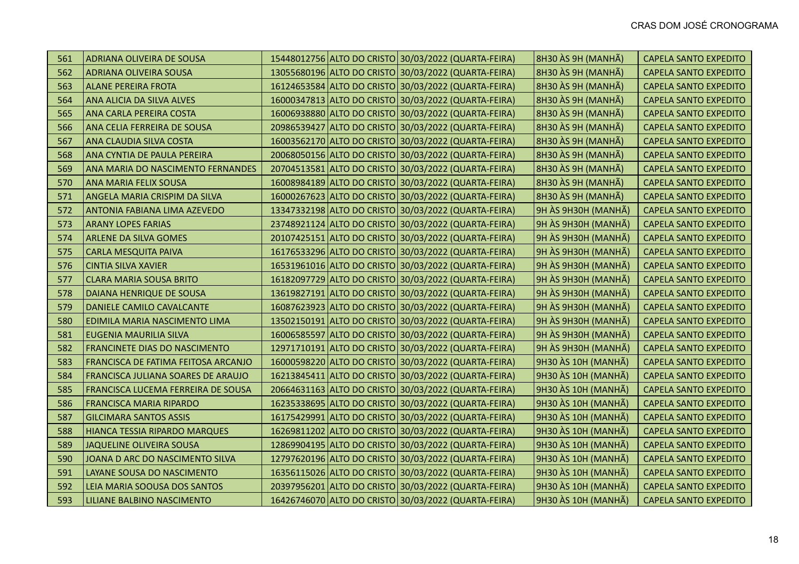| 561 | ADRIANA OLIVEIRA DE SOUSA            |  | 15448012756 ALTO DO CRISTO 30/03/2022 (QUARTA-FEIRA) | 8H30 ÀS 9H (MANHÃ)  | <b>CAPELA SANTO EXPEDITO</b> |
|-----|--------------------------------------|--|------------------------------------------------------|---------------------|------------------------------|
| 562 | ADRIANA OLIVEIRA SOUSA               |  | 13055680196 ALTO DO CRISTO 30/03/2022 (QUARTA-FEIRA) | 8H30 ÀS 9H (MANHÃ)  | <b>CAPELA SANTO EXPEDITO</b> |
| 563 | <b>ALANE PEREIRA FROTA</b>           |  | 16124653584 ALTO DO CRISTO 30/03/2022 (QUARTA-FEIRA) | 8H30 ÀS 9H (MANHÃ)  | <b>CAPELA SANTO EXPEDITO</b> |
| 564 | ANA ALICIA DA SILVA ALVES            |  | 16000347813 ALTO DO CRISTO 30/03/2022 (QUARTA-FEIRA) | 8H30 ÀS 9H (MANHÃ)  | <b>CAPELA SANTO EXPEDITO</b> |
| 565 | ANA CARLA PEREIRA COSTA              |  | 16006938880 ALTO DO CRISTO 30/03/2022 (QUARTA-FEIRA) | 8H30 ÀS 9H (MANHÃ)  | <b>CAPELA SANTO EXPEDITO</b> |
| 566 | ANA CELIA FERREIRA DE SOUSA          |  | 20986539427 ALTO DO CRISTO 30/03/2022 (QUARTA-FEIRA) | 8H30 ÀS 9H (MANHÃ)  | <b>CAPELA SANTO EXPEDITO</b> |
| 567 | ANA CLAUDIA SILVA COSTA              |  | 16003562170 ALTO DO CRISTO 30/03/2022 (QUARTA-FEIRA) | 8H30 ÀS 9H (MANHÃ)  | <b>CAPELA SANTO EXPEDITO</b> |
| 568 | ANA CYNTIA DE PAULA PEREIRA          |  | 20068050156 ALTO DO CRISTO 30/03/2022 (QUARTA-FEIRA) | 8H30 ÀS 9H (MANHÃ)  | <b>CAPELA SANTO EXPEDITO</b> |
| 569 | ANA MARIA DO NASCIMENTO FERNANDES    |  | 20704513581 ALTO DO CRISTO 30/03/2022 (QUARTA-FEIRA) | 8H30 ÀS 9H (MANHÃ)  | <b>CAPELA SANTO EXPEDITO</b> |
| 570 | <b>ANA MARIA FELIX SOUSA</b>         |  | 16008984189 ALTO DO CRISTO 30/03/2022 (QUARTA-FEIRA) | 8H30 ÀS 9H (MANHÃ)  | <b>CAPELA SANTO EXPEDITO</b> |
| 571 | ANGELA MARIA CRISPIM DA SILVA        |  | 16000267623 ALTO DO CRISTO 30/03/2022 (QUARTA-FEIRA) | 8H30 ÀS 9H (MANHÃ)  | <b>CAPELA SANTO EXPEDITO</b> |
| 572 | ANTONIA FABIANA LIMA AZEVEDO         |  | 13347332198 ALTO DO CRISTO 30/03/2022 (QUARTA-FEIRA) | 9H ÀS 9H30H (MANHÃ) | <b>CAPELA SANTO EXPEDITO</b> |
| 573 | <b>ARANY LOPES FARIAS</b>            |  | 23748921124 ALTO DO CRISTO 30/03/2022 (QUARTA-FEIRA) | 9H ÀS 9H30H (MANHÃ) | <b>CAPELA SANTO EXPEDITO</b> |
| 574 | ARLENE DA SILVA GOMES                |  | 20107425151 ALTO DO CRISTO 30/03/2022 (QUARTA-FEIRA) | 9H ÀS 9H30H (MANHÃ) | <b>CAPELA SANTO EXPEDITO</b> |
| 575 | <b>CARLA MESQUITA PAIVA</b>          |  | 16176533296 ALTO DO CRISTO 30/03/2022 (QUARTA-FEIRA) | 9H ÀS 9H30H (MANHÃ) | <b>CAPELA SANTO EXPEDITO</b> |
| 576 | <b>CINTIA SILVA XAVIER</b>           |  | 16531961016 ALTO DO CRISTO 30/03/2022 (QUARTA-FEIRA) | 9H ÀS 9H30H (MANHÃ) | <b>CAPELA SANTO EXPEDITO</b> |
| 577 | <b>CLARA MARIA SOUSA BRITO</b>       |  | 16182097729 ALTO DO CRISTO 30/03/2022 (QUARTA-FEIRA) | 9H ÀS 9H30H (MANHÃ) | <b>CAPELA SANTO EXPEDITO</b> |
| 578 | DAIANA HENRIQUE DE SOUSA             |  | 13619827191 ALTO DO CRISTO 30/03/2022 (QUARTA-FEIRA) | 9H ÀS 9H30H (MANHÃ) | <b>CAPELA SANTO EXPEDITO</b> |
| 579 | DANIELE CAMILO CAVALCANTE            |  | 16087623923 ALTO DO CRISTO 30/03/2022 (QUARTA-FEIRA) | 9H ÀS 9H30H (MANHÃ) | <b>CAPELA SANTO EXPEDITO</b> |
| 580 | EDIMILA MARIA NASCIMENTO LIMA        |  | 13502150191 ALTO DO CRISTO 30/03/2022 (QUARTA-FEIRA) | 9H ÀS 9H30H (MANHÃ) | <b>CAPELA SANTO EXPEDITO</b> |
| 581 | <b>EUGENIA MAURILIA SILVA</b>        |  | 16006585597 ALTO DO CRISTO 30/03/2022 (QUARTA-FEIRA) | 9H ÀS 9H30H (MANHÃ) | <b>CAPELA SANTO EXPEDITO</b> |
| 582 | <b>FRANCINETE DIAS DO NASCIMENTO</b> |  | 12971710191 ALTO DO CRISTO 30/03/2022 (QUARTA-FEIRA) | 9H ÀS 9H30H (MANHÃ) | <b>CAPELA SANTO EXPEDITO</b> |
| 583 | FRANCISCA DE FATIMA FEITOSA ARCANJO  |  | 16000598220 ALTO DO CRISTO 30/03/2022 (QUARTA-FEIRA) | 9H30 ÀS 10H (MANHÃ) | <b>CAPELA SANTO EXPEDITO</b> |
| 584 | FRANCISCA JULIANA SOARES DE ARAUJO   |  | 16213845411 ALTO DO CRISTO 30/03/2022 (QUARTA-FEIRA) | 9H30 ÀS 10H (MANHÃ) | <b>CAPELA SANTO EXPEDITO</b> |
| 585 | FRANCISCA LUCEMA FERREIRA DE SOUSA   |  | 20664631163 ALTO DO CRISTO 30/03/2022 (QUARTA-FEIRA) | 9H30 ÀS 10H (MANHÃ) | <b>CAPELA SANTO EXPEDITO</b> |
| 586 | <b>FRANCISCA MARIA RIPARDO</b>       |  | 16235338695 ALTO DO CRISTO 30/03/2022 (QUARTA-FEIRA) | 9H30 ÀS 10H (MANHÃ) | <b>CAPELA SANTO EXPEDITO</b> |
| 587 | <b>GILCIMARA SANTOS ASSIS</b>        |  | 16175429991 ALTO DO CRISTO 30/03/2022 (QUARTA-FEIRA) | 9H30 ÀS 10H (MANHÃ) | <b>CAPELA SANTO EXPEDITO</b> |
| 588 | HIANCA TESSIA RIPARDO MARQUES        |  | 16269811202 ALTO DO CRISTO 30/03/2022 (QUARTA-FEIRA) | 9H30 ÀS 10H (MANHÃ) | <b>CAPELA SANTO EXPEDITO</b> |
| 589 | JAQUELINE OLIVEIRA SOUSA             |  | 12869904195 ALTO DO CRISTO 30/03/2022 (QUARTA-FEIRA) | 9H30 ÀS 10H (MANHÃ) | <b>CAPELA SANTO EXPEDITO</b> |
| 590 | JOANA D ARC DO NASCIMENTO SILVA      |  | 12797620196 ALTO DO CRISTO 30/03/2022 (QUARTA-FEIRA) | 9H30 ÀS 10H (MANHÃ) | <b>CAPELA SANTO EXPEDITO</b> |
| 591 | LAYANE SOUSA DO NASCIMENTO           |  | 16356115026 ALTO DO CRISTO 30/03/2022 (QUARTA-FEIRA) | 9H30 ÀS 10H (MANHÃ) | <b>CAPELA SANTO EXPEDITO</b> |
| 592 | LEIA MARIA SOOUSA DOS SANTOS         |  | 20397956201 ALTO DO CRISTO 30/03/2022 (QUARTA-FEIRA) | 9H30 ÀS 10H (MANHÃ) | <b>CAPELA SANTO EXPEDITO</b> |
| 593 | LILIANE BALBINO NASCIMENTO           |  | 16426746070 ALTO DO CRISTO 30/03/2022 (QUARTA-FEIRA) | 9H30 ÀS 10H (MANHÃ) | <b>CAPELA SANTO EXPEDITO</b> |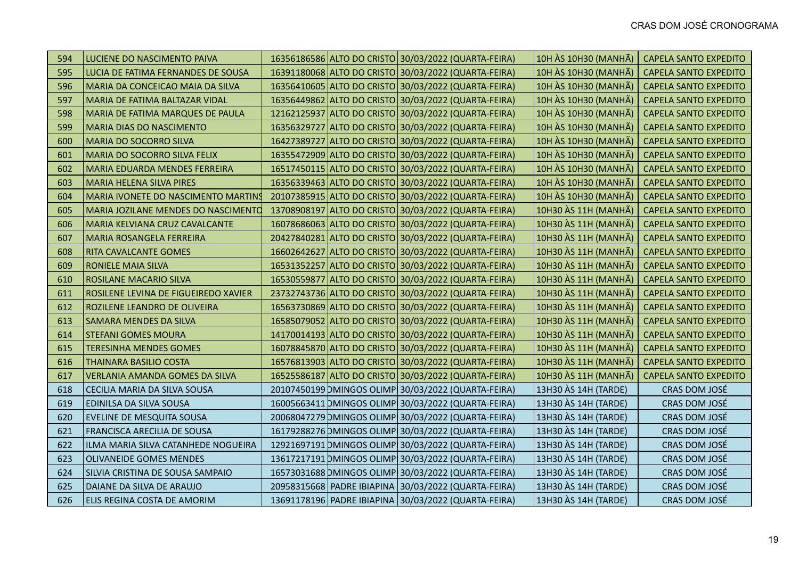| 594 | LUCIENE DO NASCIMENTO PAIVA           |  | 16356186586 ALTO DO CRISTO 30/03/2022 (QUARTA-FEIRA)     | 10H ÀS 10H30 (MANHÃ) | <b>CAPELA SANTO EXPEDITO</b> |
|-----|---------------------------------------|--|----------------------------------------------------------|----------------------|------------------------------|
| 595 | LUCIA DE FATIMA FERNANDES DE SOUSA    |  | 16391180068 ALTO DO CRISTO 30/03/2022 (QUARTA-FEIRA)     | 10H ÀS 10H30 (MANHÃ) | <b>CAPELA SANTO EXPEDITO</b> |
| 596 | MARIA DA CONCEICAO MAIA DA SILVA      |  | 16356410605 ALTO DO CRISTO 30/03/2022 (QUARTA-FEIRA)     | 10H ÀS 10H30 (MANHÃ) | <b>CAPELA SANTO EXPEDITO</b> |
| 597 | MARIA DE FATIMA BALTAZAR VIDAL        |  | 16356449862 ALTO DO CRISTO 30/03/2022 (QUARTA-FEIRA)     | 10H ÀS 10H30 (MANHÃ) | <b>CAPELA SANTO EXPEDITO</b> |
| 598 | MARIA DE FATIMA MARQUES DE PAULA      |  | 12162125937 ALTO DO CRISTO 30/03/2022 (QUARTA-FEIRA)     | 10H ÀS 10H30 (MANHÃ) | <b>CAPELA SANTO EXPEDITO</b> |
| 599 | <b>MARIA DIAS DO NASCIMENTO</b>       |  | 16356329727 ALTO DO CRISTO 30/03/2022 (QUARTA-FEIRA)     | 10H ÀS 10H30 (MANHÃ) | <b>CAPELA SANTO EXPEDITO</b> |
| 600 | <b>MARIA DO SOCORRO SILVA</b>         |  | 16427389727 ALTO DO CRISTO 30/03/2022 (QUARTA-FEIRA)     | 10H ÀS 10H30 (MANHÃ) | <b>CAPELA SANTO EXPEDITO</b> |
| 601 | <b>MARIA DO SOCORRO SILVA FELIX</b>   |  | 16355472909 ALTO DO CRISTO 30/03/2022 (QUARTA-FEIRA)     | 10H ÀS 10H30 (MANHÃ) | <b>CAPELA SANTO EXPEDITO</b> |
| 602 | <b>MARIA EDUARDA MENDES FERREIRA</b>  |  | 16517450115 ALTO DO CRISTO 30/03/2022 (QUARTA-FEIRA)     | 10H ÀS 10H30 (MANHÃ) | <b>CAPELA SANTO EXPEDITO</b> |
| 603 | MARIA HELENA SILVA PIRES              |  | 16356339463 ALTO DO CRISTO 30/03/2022 (QUARTA-FEIRA)     | 10H ÀS 10H30 (MANHÃ) | <b>CAPELA SANTO EXPEDITO</b> |
| 604 | MARIA IVONETE DO NASCIMENTO MARTINS   |  | 20107385915   ALTO DO CRISTO   30/03/2022 (QUARTA-FEIRA) | 10H ÀS 10H30 (MANHÃ) | <b>CAPELA SANTO EXPEDITO</b> |
| 605 | MARIA JOZILANE MENDES DO NASCIMENTO   |  | 13708908197 ALTO DO CRISTO 30/03/2022 (QUARTA-FEIRA)     | 10H30 ÀS 11H (MANHÃ) | <b>CAPELA SANTO EXPEDITO</b> |
| 606 | MARIA KELVIANA CRUZ CAVALCANTE        |  | 16078686063 ALTO DO CRISTO 30/03/2022 (QUARTA-FEIRA)     | 10H30 ÀS 11H (MANHÃ) | <b>CAPELA SANTO EXPEDITO</b> |
| 607 | MARIA ROSANGELA FERREIRA              |  | 20427840281 ALTO DO CRISTO 30/03/2022 (QUARTA-FEIRA)     | 10H30 ÀS 11H (MANHÃ) | <b>CAPELA SANTO EXPEDITO</b> |
| 608 | <b>RITA CAVALCANTE GOMES</b>          |  | 16602642627 ALTO DO CRISTO 30/03/2022 (QUARTA-FEIRA)     | 10H30 ÀS 11H (MANHÃ) | <b>CAPELA SANTO EXPEDITO</b> |
| 609 | RONIELE MAIA SILVA                    |  | 16531352257 ALTO DO CRISTO 30/03/2022 (QUARTA-FEIRA)     | 10H30 ÀS 11H (MANHÃ) | <b>CAPELA SANTO EXPEDITO</b> |
| 610 | ROSILANE MACARIO SILVA                |  | 16530559877 ALTO DO CRISTO 30/03/2022 (QUARTA-FEIRA)     | 10H30 ÀS 11H (MANHÃ) | <b>CAPELA SANTO EXPEDITO</b> |
| 611 | ROSILENE LEVINA DE FIGUEIREDO XAVIER  |  | 23732743736 ALTO DO CRISTO 30/03/2022 (QUARTA-FEIRA)     | 10H30 ÀS 11H (MANHÃ) | <b>CAPELA SANTO EXPEDITO</b> |
| 612 | ROZILENE LEANDRO DE OLIVEIRA          |  | 16563730869 ALTO DO CRISTO 30/03/2022 (QUARTA-FEIRA)     | 10H30 ÀS 11H (MANHÃ) | <b>CAPELA SANTO EXPEDITO</b> |
| 613 | SAMARA MENDES DA SILVA                |  | 16585079052 ALTO DO CRISTO 30/03/2022 (QUARTA-FEIRA)     | 10H30 ÀS 11H (MANHÃ) | <b>CAPELA SANTO EXPEDITO</b> |
| 614 | <b>STEFANI GOMES MOURA</b>            |  | 14170014193 ALTO DO CRISTO 30/03/2022 (QUARTA-FEIRA)     | 10H30 ÀS 11H (MANHÃ) | <b>CAPELA SANTO EXPEDITO</b> |
| 615 | <b>TERESINHA MENDES GOMES</b>         |  | 16078845870 ALTO DO CRISTO 30/03/2022 (QUARTA-FEIRA)     | 10H30 ÀS 11H (MANHÃ) | <b>CAPELA SANTO EXPEDITO</b> |
| 616 | <b>THAINARA BASILIO COSTA</b>         |  | 16576813903 ALTO DO CRISTO 30/03/2022 (QUARTA-FEIRA)     | 10H30 ÀS 11H (MANHÃ) | <b>CAPELA SANTO EXPEDITO</b> |
| 617 | <b>VERLANIA AMANDA GOMES DA SILVA</b> |  | 16525586187 ALTO DO CRISTO 30/03/2022 (QUARTA-FEIRA)     | 10H30 ÀS 11H (MANHÃ) | <b>CAPELA SANTO EXPEDITO</b> |
| 618 | CECILIA MARIA DA SILVA SOUSA          |  | 20107450199 DMINGOS OLIMP 30/03/2022 (QUARTA-FEIRA)      | 13H30 ÀS 14H (TARDE) | CRAS DOM JOSÉ                |
| 619 | EDINILSA DA SILVA SOUSA               |  | 16005663411 DMINGOS OLIMP 30/03/2022 (QUARTA-FEIRA)      | 13H30 AS 14H (TARDE) | CRAS DOM JOSÉ                |
| 620 | EVELINE DE MESQUITA SOUSA             |  | 20068047279 DMINGOS OLIMP 30/03/2022 (QUARTA-FEIRA)      | 13H30 ÀS 14H (TARDE) | CRAS DOM JOSÉ                |
| 621 | <b>FRANCISCA ARECILIA DE SOUSA</b>    |  | 16179288276 DMINGOS OLIMP 30/03/2022 (QUARTA-FEIRA)      | 13H30 AS 14H (TARDE) | CRAS DOM JOSÉ                |
| 622 | ILMA MARIA SILVA CATANHEDE NOGUEIRA   |  | 12921697191 DMINGOS OLIMP 30/03/2022 (QUARTA-FEIRA)      | 13H30 ÀS 14H (TARDE) | CRAS DOM JOSÉ                |
| 623 | <b>OLIVANEIDE GOMES MENDES</b>        |  | 13617217191 DMINGOS OLIMP 30/03/2022 (QUARTA-FEIRA)      | 13H30 AS 14H (TARDE) | CRAS DOM JOSÉ                |
| 624 | SILVIA CRISTINA DE SOUSA SAMPAIO      |  | 16573031688 DMINGOS OLIMP 30/03/2022 (QUARTA-FEIRA)      | 13H30 ÀS 14H (TARDE) | CRAS DOM JOSÉ                |
| 625 | DAIANE DA SILVA DE ARAUJO             |  | 20958315668   PADRE IBIAPINA   30/03/2022 (QUARTA-FEIRA) | 13H30 AS 14H (TARDE) | CRAS DOM JOSÉ                |
| 626 | <b>ELIS REGINA COSTA DE AMORIM</b>    |  | 13691178196   PADRE IBIAPINA   30/03/2022 (QUARTA-FEIRA) | 13H30 ÀS 14H (TARDE) | CRAS DOM JOSÉ                |